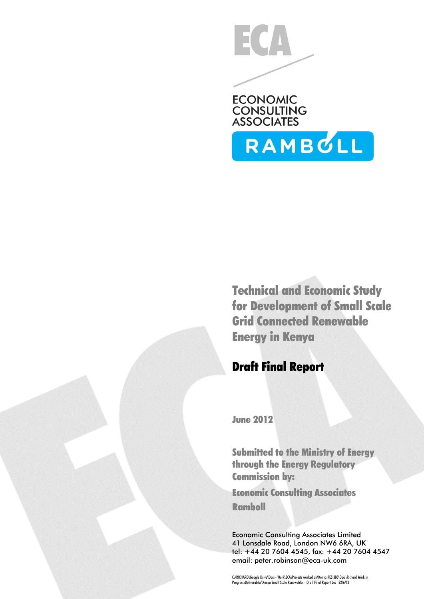

Technical and Economic Study for Development of Small Scale Grid Connected Renewable Energy in Kenya

# Draft Final Report

June 2012

Submitted to the Ministry of Energy through the Energy Regulatory Commission by:

Economic Consulting Associates Ramboll

Economic Consulting Associates Limited 41 Lonsdale Road, London NW6 6RA, UK tel: +44 20 7604 4545, fax: +44 20 7604 4547 email: peter.robinson@eca-uk.com

C:\RICHARD\Google Drive\Docs - Work\ECA\Projects worked on\Kenya RES 386\Docs\Richard Work in<br>Progress\Deliverables\Kenya Small Scale Renewables - Draft Final Report.doc 22/6/12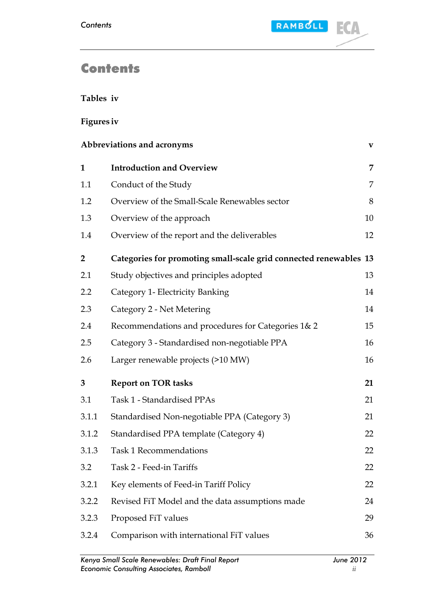

# **Contents**

#### **Tables iv**

#### **Figures iv**

|                | Abbreviations and acronyms                                        | $\mathbf{V}$   |
|----------------|-------------------------------------------------------------------|----------------|
| $\mathbf 1$    | <b>Introduction and Overview</b>                                  | $\overline{7}$ |
| 1.1            | Conduct of the Study                                              | 7              |
| 1.2            | Overview of the Small-Scale Renewables sector                     | 8              |
| 1.3            | Overview of the approach                                          | 10             |
| 1.4            | Overview of the report and the deliverables                       | 12             |
| $\overline{2}$ | Categories for promoting small-scale grid connected renewables 13 |                |
| 2.1            | Study objectives and principles adopted                           | 13             |
| 2.2            | Category 1- Electricity Banking                                   | 14             |
| 2.3            | Category 2 - Net Metering                                         | 14             |
| 2.4            | Recommendations and procedures for Categories 1& 2                | 15             |
| 2.5            | Category 3 - Standardised non-negotiable PPA                      | 16             |
| 2.6            | Larger renewable projects (>10 MW)                                | 16             |
| 3              | <b>Report on TOR tasks</b>                                        | 21             |
| 3.1            | Task 1 - Standardised PPAs                                        | 21             |
| 3.1.1          | Standardised Non-negotiable PPA (Category 3)                      | 21             |
| 3.1.2          | Standardised PPA template (Category 4)                            | 22             |
| 3.1.3          | <b>Task 1 Recommendations</b>                                     | 22             |
| 3.2            | Task 2 - Feed-in Tariffs                                          | 22             |
| 3.2.1          | Key elements of Feed-in Tariff Policy                             | 22             |
| 3.2.2          | Revised FiT Model and the data assumptions made                   | 24             |
| 3.2.3          | Proposed FiT values                                               | 29             |
| 3.2.4          | Comparison with international FiT values                          | 36             |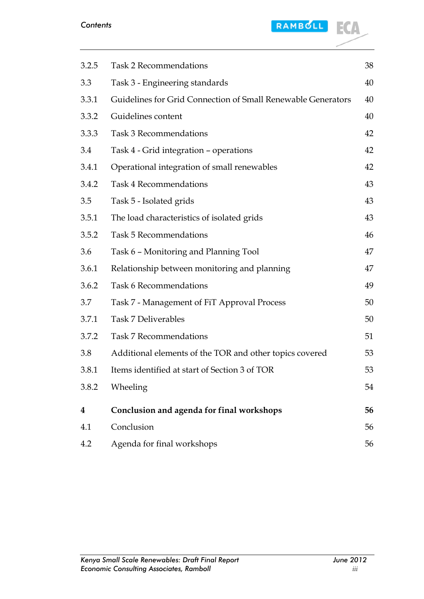

| 3.2.5 | <b>Task 2 Recommendations</b>                                | 38 |
|-------|--------------------------------------------------------------|----|
| 3.3   | Task 3 - Engineering standards                               | 40 |
| 3.3.1 | Guidelines for Grid Connection of Small Renewable Generators | 40 |
| 3.3.2 | Guidelines content                                           | 40 |
| 3.3.3 | <b>Task 3 Recommendations</b>                                | 42 |
| 3.4   | Task 4 - Grid integration – operations                       | 42 |
| 3.4.1 | Operational integration of small renewables                  | 42 |
| 3.4.2 | <b>Task 4 Recommendations</b>                                | 43 |
| 3.5   | Task 5 - Isolated grids                                      | 43 |
| 3.5.1 | The load characteristics of isolated grids                   | 43 |
| 3.5.2 | <b>Task 5 Recommendations</b>                                | 46 |
| 3.6   | Task 6 - Monitoring and Planning Tool                        | 47 |
| 3.6.1 | Relationship between monitoring and planning                 | 47 |
| 3.6.2 | <b>Task 6 Recommendations</b>                                | 49 |
| 3.7   | Task 7 - Management of FiT Approval Process                  | 50 |
| 3.7.1 | <b>Task 7 Deliverables</b>                                   | 50 |
| 3.7.2 | <b>Task 7 Recommendations</b>                                | 51 |
| 3.8   | Additional elements of the TOR and other topics covered      | 53 |
| 3.8.1 | Items identified at start of Section 3 of TOR                | 53 |
| 3.8.2 | Wheeling                                                     | 54 |
| 4     | Conclusion and agenda for final workshops                    | 56 |
| 4.1   | Conclusion                                                   | 56 |
| 4.2   | Agenda for final workshops                                   | 56 |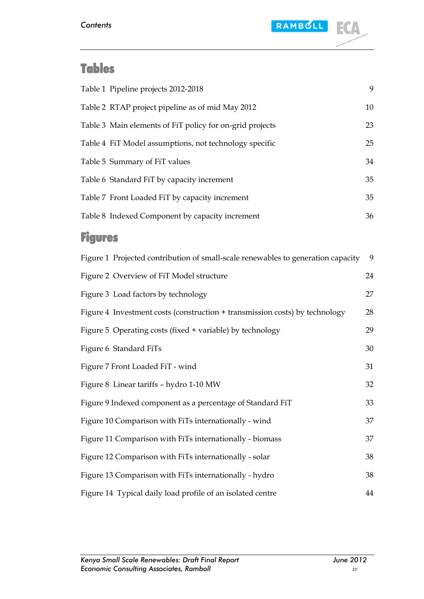

# Tables

| Table 1 Pipeline projects 2012-2018                                              | 9  |
|----------------------------------------------------------------------------------|----|
| Table 2 RTAP project pipeline as of mid May 2012                                 | 10 |
| Table 3 Main elements of FiT policy for on-grid projects                         | 23 |
| Table 4 FiT Model assumptions, not technology specific                           | 25 |
| Table 5 Summary of FiT values                                                    | 34 |
| Table 6 Standard FiT by capacity increment                                       | 35 |
| Table 7 Front Loaded FiT by capacity increment                                   | 35 |
| Table 8 Indexed Component by capacity increment                                  | 36 |
| <b>Figures</b>                                                                   |    |
| Figure 1 Projected contribution of small-scale renewables to generation capacity | 9  |
| Figure 2 Overview of FiT Model structure                                         | 24 |
| Figure 3 Load factors by technology                                              | 27 |
|                                                                                  |    |

| Figure 4 Investment costs (construction + transmission costs) by technology | 28 |
|-----------------------------------------------------------------------------|----|
| Figure 5 Operating costs (fixed + variable) by technology                   | 29 |
| Figure 6 Standard FiTs                                                      | 30 |
| Figure 7 Front Loaded FiT - wind                                            | 31 |
| Figure 8 Linear tariffs - hydro 1-10 MW                                     | 32 |
| Figure 9 Indexed component as a percentage of Standard FiT                  | 33 |
| Figure 10 Comparison with FiTs internationally - wind                       | 37 |
| Figure 11 Comparison with FiTs internationally - biomass                    | 37 |
| Figure 12 Comparison with FiTs internationally - solar                      | 38 |
|                                                                             |    |

[Figure 13 Comparison with FiTs internationally -](#page-37-1) hydro 38 [Figure 14 Typical daily load profile of an isolated centre](#page-43-0) 44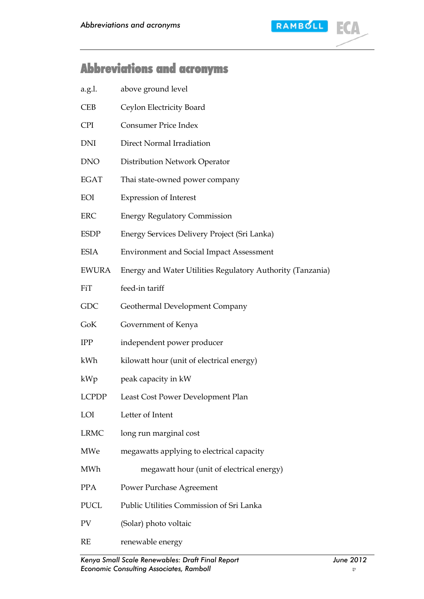

# Abbreviations and acronyms

| a.g.l.       | above ground level                                         |
|--------------|------------------------------------------------------------|
| <b>CEB</b>   | Ceylon Electricity Board                                   |
| <b>CPI</b>   | <b>Consumer Price Index</b>                                |
| <b>DNI</b>   | Direct Normal Irradiation                                  |
| <b>DNO</b>   | Distribution Network Operator                              |
| <b>EGAT</b>  | Thai state-owned power company                             |
| EOI          | <b>Expression of Interest</b>                              |
| ERC          | <b>Energy Regulatory Commission</b>                        |
| <b>ESDP</b>  | Energy Services Delivery Project (Sri Lanka)               |
| <b>ESIA</b>  | <b>Environment and Social Impact Assessment</b>            |
| <b>EWURA</b> | Energy and Water Utilities Regulatory Authority (Tanzania) |
| FiT          | feed-in tariff                                             |
| GDC          | Geothermal Development Company                             |
| GoK          | Government of Kenya                                        |
| <b>IPP</b>   | independent power producer                                 |
| kWh          | kilowatt hour (unit of electrical energy)                  |
| kWp          | peak capacity in kW                                        |
| <b>LCPDP</b> | Least Cost Power Development Plan                          |
| LOI          | Letter of Intent                                           |
| <b>LRMC</b>  | long run marginal cost                                     |
| MWe          | megawatts applying to electrical capacity                  |
| MWh          | megawatt hour (unit of electrical energy)                  |
| <b>PPA</b>   | Power Purchase Agreement                                   |
| <b>PUCL</b>  | Public Utilities Commission of Sri Lanka                   |
| PV           | (Solar) photo voltaic                                      |
| RE           | renewable energy                                           |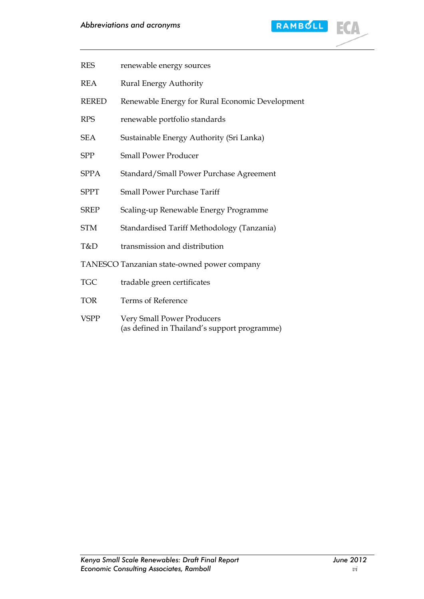

- RES renewable energy sources
- REA Rural Energy Authority
- RERED Renewable Energy for Rural Economic Development
- RPS renewable portfolio standards
- SEA Sustainable Energy Authority (Sri Lanka)
- SPP Small Power Producer
- SPPA Standard/Small Power Purchase Agreement
- SPPT Small Power Purchase Tariff
- SREP Scaling-up Renewable Energy Programme
- STM Standardised Tariff Methodology (Tanzania)
- T&D transmission and distribution

TANESCO Tanzanian state-owned power company

- TGC tradable green certificates
- TOR Terms of Reference
- VSPP Very Small Power Producers (as defined in Thailand's support programme)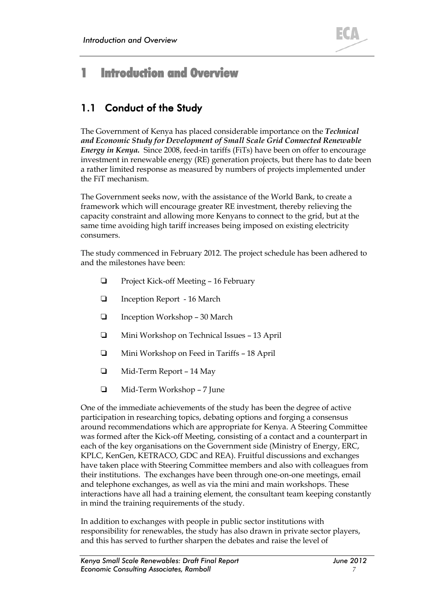

# 1 Introduction and Overview

## 1.1 Conduct of the Study

The Government of Kenya has placed considerable importance on the *Technical and Economic Study for Development of Small Scale Grid Connected Renewable Energy in Kenya.* Since 2008, feed-in tariffs (FiTs) have been on offer to encourage investment in renewable energy (RE) generation projects, but there has to date been a rather limited response as measured by numbers of projects implemented under the FiT mechanism.

The Government seeks now, with the assistance of the World Bank, to create a framework which will encourage greater RE investment, thereby relieving the capacity constraint and allowing more Kenyans to connect to the grid, but at the same time avoiding high tariff increases being imposed on existing electricity consumers.

The study commenced in February 2012. The project schedule has been adhered to and the milestones have been:

- □ Project Kick-off Meeting 16 February
- □ Inception Report 16 March
- Inception Workshop 30 March
- Mini Workshop on Technical Issues 13 April
- Mini Workshop on Feed in Tariffs 18 April
- Mid-Term Report 14 May
- Mid-Term Workshop 7 June

One of the immediate achievements of the study has been the degree of active participation in researching topics, debating options and forging a consensus around recommendations which are appropriate for Kenya. A Steering Committee was formed after the Kick-off Meeting, consisting of a contact and a counterpart in each of the key organisations on the Government side (Ministry of Energy, ERC, KPLC, KenGen, KETRACO, GDC and REA). Fruitful discussions and exchanges have taken place with Steering Committee members and also with colleagues from their institutions. The exchanges have been through one-on-one meetings, email and telephone exchanges, as well as via the mini and main workshops. These interactions have all had a training element, the consultant team keeping constantly in mind the training requirements of the study.

In addition to exchanges with people in public sector institutions with responsibility for renewables, the study has also drawn in private sector players, and this has served to further sharpen the debates and raise the level of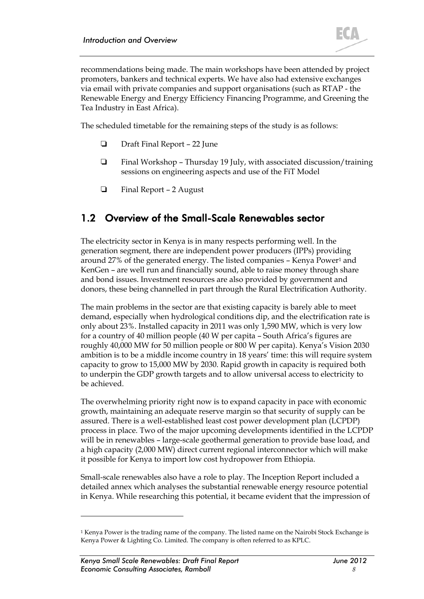

recommendations being made. The main workshops have been attended by project promoters, bankers and technical experts. We have also had extensive exchanges via email with private companies and support organisations (such as RTAP - the Renewable Energy and Energy Efficiency Financing Programme, and Greening the Tea Industry in East Africa).

The scheduled timetable for the remaining steps of the study is as follows:

- □ Draft Final Report 22 June
- $\Box$  Final Workshop Thursday 19 July, with associated discussion/training sessions on engineering aspects and use of the FiT Model
- Final Report 2 August

## 1.2 Overview of the Small-Scale Renewables sector

The electricity sector in Kenya is in many respects performing well. In the generation segment, there are independent power producers (IPPs) providing around 27% of the generated energy. The listed companies - Kenya Power<sup>1</sup> and KenGen – are well run and financially sound, able to raise money through share and bond issues. Investment resources are also provided by government and donors, these being channelled in part through the Rural Electrification Authority.

The main problems in the sector are that existing capacity is barely able to meet demand, especially when hydrological conditions dip, and the electrification rate is only about 23%. Installed capacity in 2011 was only 1,590 MW, which is very low for a country of 40 million people (40 W per capita – South Africa's figures are roughly 40,000 MW for 50 million people or 800 W per capita). Kenya's Vision 2030 ambition is to be a middle income country in 18 years' time: this will require system capacity to grow to 15,000 MW by 2030. Rapid growth in capacity is required both to underpin the GDP growth targets and to allow universal access to electricity to be achieved.

The overwhelming priority right now is to expand capacity in pace with economic growth, maintaining an adequate reserve margin so that security of supply can be assured. There is a well-established least cost power development plan (LCPDP) process in place. Two of the major upcoming developments identified in the LCPDP will be in renewables – large-scale geothermal generation to provide base load, and a high capacity (2,000 MW) direct current regional interconnector which will make it possible for Kenya to import low cost hydropower from Ethiopia.

Small-scale renewables also have a role to play. The Inception Report included a detailed annex which analyses the substantial renewable energy resource potential in Kenya. While researching this potential, it became evident that the impression of

 $\ddot{\phantom{a}}$ 

<sup>&</sup>lt;sup>1</sup> Kenya Power is the trading name of the company. The listed name on the Nairobi Stock Exchange is Kenya Power & Lighting Co. Limited. The company is often referred to as KPLC.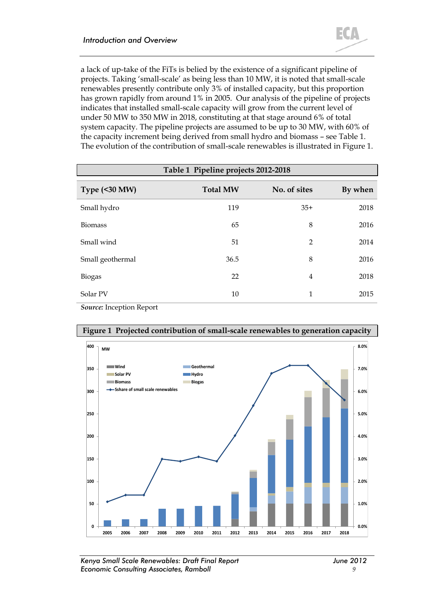a lack of up-take of the FiTs is belied by the existence of a significant pipeline of projects. Taking 'small-scale' as being less than 10 MW, it is noted that small-scale renewables presently contribute only 3% of installed capacity, but this proportion has grown rapidly from around 1% in 2005. Our analysis of the pipeline of projects indicates that installed small-scale capacity will grow from the current level of under 50 MW to 350 MW in 2018, constituting at that stage around 6% of total system capacity. The pipeline projects are assumed to be up to 30 MW, with 60% of the capacity increment being derived from small hydro and biomass – see [Table 1.](#page-8-2) The evolution of the contribution of small-scale renewables is illustrated in [Figure 1.](#page-8-3)

<span id="page-8-2"></span><span id="page-8-0"></span>

| Table 1 Pipeline projects 2012-2018 |                |         |  |  |  |  |  |  |  |
|-------------------------------------|----------------|---------|--|--|--|--|--|--|--|
| <b>Total MW</b>                     | No. of sites   | By when |  |  |  |  |  |  |  |
| 119                                 | $35+$          | 2018    |  |  |  |  |  |  |  |
| 65                                  | 8              | 2016    |  |  |  |  |  |  |  |
| 51                                  | $\overline{2}$ | 2014    |  |  |  |  |  |  |  |
| 36.5                                | 8              | 2016    |  |  |  |  |  |  |  |
| 22                                  | 4              | 2018    |  |  |  |  |  |  |  |
| 10                                  | 1              | 2015    |  |  |  |  |  |  |  |
|                                     |                |         |  |  |  |  |  |  |  |

*Source:* Inception Report

<span id="page-8-3"></span><span id="page-8-1"></span>

*Kenya Small Scale Renewables: Draft Final Report June 2012 Economic Consulting Associates, Ramboll 9*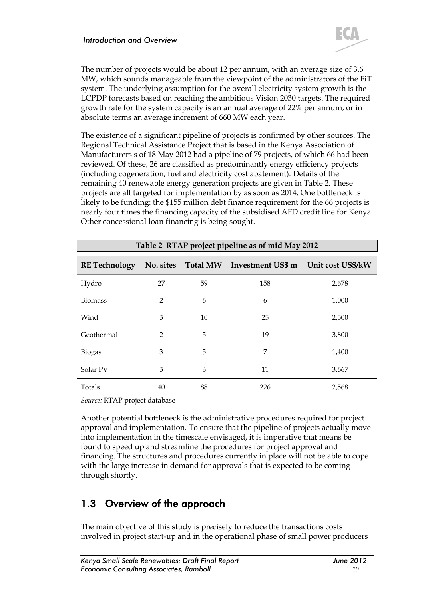The number of projects would be about 12 per annum, with an average size of 3.6 MW, which sounds manageable from the viewpoint of the administrators of the FiT system. The underlying assumption for the overall electricity system growth is the LCPDP forecasts based on reaching the ambitious Vision 2030 targets. The required growth rate for the system capacity is an annual average of 22% per annum, or in absolute terms an average increment of 660 MW each year.

The existence of a significant pipeline of projects is confirmed by other sources. The Regional Technical Assistance Project that is based in the Kenya Association of Manufacturers s of 18 May 2012 had a pipeline of 79 projects, of which 66 had been reviewed. Of these, 26 are classified as predominantly energy efficiency projects (including cogeneration, fuel and electricity cost abatement). Details of the remaining 40 renewable energy generation projects are given in [Table 2.](#page-9-1) These projects are all targeted for implementation by as soon as 2014. One bottleneck is likely to be funding: the \$155 million debt finance requirement for the 66 projects is nearly four times the financing capacity of the subsidised AFD credit line for Kenya. Other concessional loan financing is being sought.

<span id="page-9-1"></span><span id="page-9-0"></span>

| Table 2 RTAP project pipeline as of mid May 2012                               |    |    |     |       |  |  |  |  |  |
|--------------------------------------------------------------------------------|----|----|-----|-------|--|--|--|--|--|
| No. sites Total MW Investment US\$ m Unit cost US\$/kW<br><b>RE</b> Technology |    |    |     |       |  |  |  |  |  |
| Hydro                                                                          | 27 | 59 | 158 | 2,678 |  |  |  |  |  |
| <b>Biomass</b>                                                                 | 2  | 6  | 6   | 1,000 |  |  |  |  |  |
| Wind                                                                           | 3  | 10 | 25  | 2,500 |  |  |  |  |  |
| Geothermal                                                                     | 2  | 5  | 19  | 3,800 |  |  |  |  |  |
| <b>Biogas</b>                                                                  | 3  | 5  | 7   | 1,400 |  |  |  |  |  |
| Solar PV                                                                       | 3  | 3  | 11  | 3,667 |  |  |  |  |  |
| Totals                                                                         | 40 | 88 | 226 | 2,568 |  |  |  |  |  |

*Source:* RTAP project database

Another potential bottleneck is the administrative procedures required for project approval and implementation. To ensure that the pipeline of projects actually move into implementation in the timescale envisaged, it is imperative that means be found to speed up and streamline the procedures for project approval and financing. The structures and procedures currently in place will not be able to cope with the large increase in demand for approvals that is expected to be coming through shortly.

### <span id="page-9-2"></span>1.3 Overview of the approach

The main objective of this study is precisely to reduce the transactions costs involved in project start-up and in the operational phase of small power producers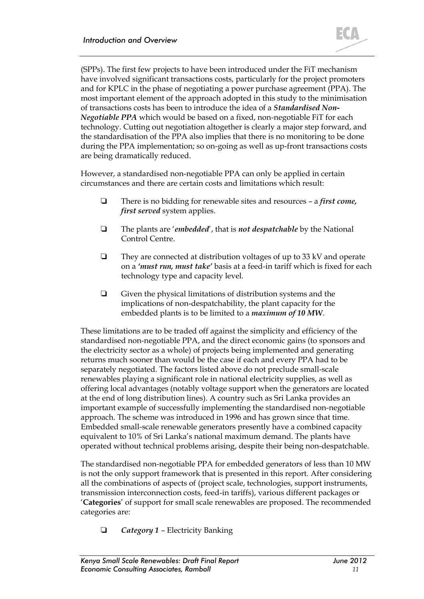(SPPs). The first few projects to have been introduced under the FiT mechanism have involved significant transactions costs, particularly for the project promoters and for KPLC in the phase of negotiating a power purchase agreement (PPA). The most important element of the approach adopted in this study to the minimisation of transactions costs has been to introduce the idea of a *Standardised Non-Negotiable PPA* which would be based on a fixed, non-negotiable FiT for each technology. Cutting out negotiation altogether is clearly a major step forward, and the standardisation of the PPA also implies that there is no monitoring to be done during the PPA implementation; so on-going as well as up-front transactions costs are being dramatically reduced.

However, a standardised non-negotiable PPA can only be applied in certain circumstances and there are certain costs and limitations which result:

- There is no bidding for renewable sites and resources a *first come, first served* system applies.
- The plants are '*embedded*', that is *not despatchable* by the National Control Centre.
- $\Box$  They are connected at distribution voltages of up to 33 kV and operate on a *'must run, must take'* basis at a feed-in tariff which is fixed for each technology type and capacity level.
- $\Box$  Given the physical limitations of distribution systems and the implications of non-despatchability, the plant capacity for the embedded plants is to be limited to a *maximum of 10 MW*.

These limitations are to be traded off against the simplicity and efficiency of the standardised non-negotiable PPA, and the direct economic gains (to sponsors and the electricity sector as a whole) of projects being implemented and generating returns much sooner than would be the case if each and every PPA had to be separately negotiated. The factors listed above do not preclude small-scale renewables playing a significant role in national electricity supplies, as well as offering local advantages (notably voltage support when the generators are located at the end of long distribution lines). A country such as Sri Lanka provides an important example of successfully implementing the standardised non-negotiable approach. The scheme was introduced in 1996 and has grown since that time. Embedded small-scale renewable generators presently have a combined capacity equivalent to 10% of Sri Lanka's national maximum demand. The plants have operated without technical problems arising, despite their being non-despatchable.

The standardised non-negotiable PPA for embedded generators of less than 10 MW is not the only support framework that is presented in this report. After considering all the combinations of aspects of (project scale, technologies, support instruments, transmission interconnection costs, feed-in tariffs), various different packages or '**Categories**' of support for small scale renewables are proposed. The recommended categories are:

*Category 1* – Electricity Banking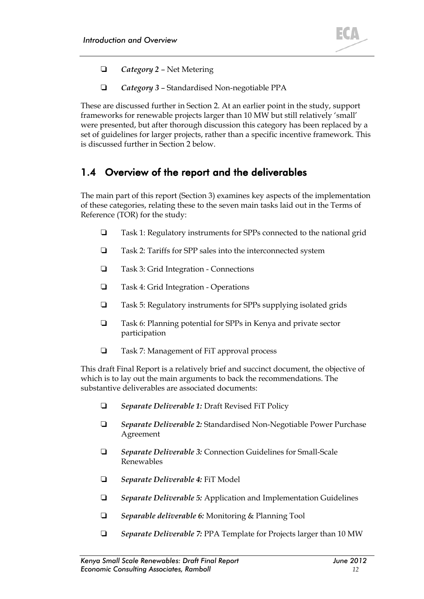

- *Category 2* Net Metering
- *Category 3* Standardised Non-negotiable PPA

These are discussed further in Section [2.](#page-12-0) At an earlier point in the study, support frameworks for renewable projects larger than 10 MW but still relatively 'small' were presented, but after thorough discussion this category has been replaced by a set of guidelines for larger projects, rather than a specific incentive framework. This is discussed further in Section [2](#page-12-0) below.

## 1.4 Overview of the report and the deliverables

The main part of this report (Section 3) examines key aspects of the implementation of these categories, relating these to the seven main tasks laid out in the Terms of Reference (TOR) for the study:

- Task 1: Regulatory instruments for SPPs connected to the national grid
- Task 2: Tariffs for SPP sales into the interconnected system
- Task 3: Grid Integration Connections
- □ Task 4: Grid Integration Operations
- Task 5: Regulatory instruments for SPPs supplying isolated grids
- Task 6: Planning potential for SPPs in Kenya and private sector participation
- □ Task 7: Management of FiT approval process

This draft Final Report is a relatively brief and succinct document, the objective of which is to lay out the main arguments to back the recommendations. The substantive deliverables are associated documents:

- *Separate Deliverable 1:* Draft Revised FiT Policy
- *Separate Deliverable 2:* Standardised Non-Negotiable Power Purchase Agreement
- *Separate Deliverable 3:* Connection Guidelines for Small-Scale Renewables
- *Separate Deliverable 4:* FiT Model
- *Separate Deliverable 5:* Application and Implementation Guidelines
- *Separable deliverable 6:* Monitoring & Planning Tool
- *Separate Deliverable 7:* PPA Template for Projects larger than 10 MW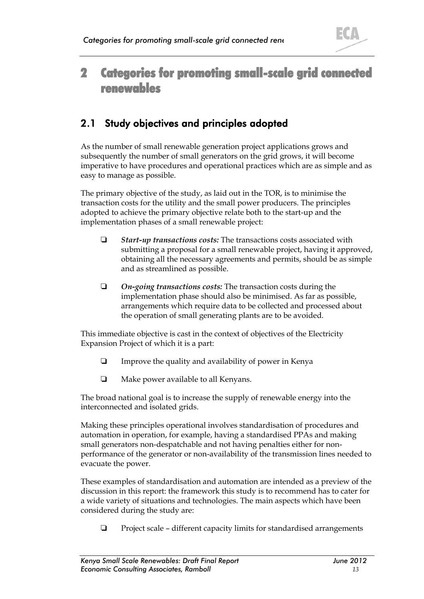

# <span id="page-12-0"></span>2 Categories for promoting small-scale grid connected renewables

## 2.1 Study objectives and principles adopted

As the number of small renewable generation project applications grows and subsequently the number of small generators on the grid grows, it will become imperative to have procedures and operational practices which are as simple and as easy to manage as possible.

The primary objective of the study, as laid out in the TOR, is to minimise the transaction costs for the utility and the small power producers. The principles adopted to achieve the primary objective relate both to the start-up and the implementation phases of a small renewable project:

- *Start-up transactions costs:* The transactions costs associated with submitting a proposal for a small renewable project, having it approved, obtaining all the necessary agreements and permits, should be as simple and as streamlined as possible.
- *On-going transactions costs:* The transaction costs during the implementation phase should also be minimised. As far as possible, arrangements which require data to be collected and processed about the operation of small generating plants are to be avoided.

This immediate objective is cast in the context of objectives of the Electricity Expansion Project of which it is a part:

- $\Box$  Improve the quality and availability of power in Kenya
- $\Box$  Make power available to all Kenyans.

The broad national goal is to increase the supply of renewable energy into the interconnected and isolated grids.

Making these principles operational involves standardisation of procedures and automation in operation, for example, having a standardised PPAs and making small generators non-despatchable and not having penalties either for nonperformance of the generator or non-availability of the transmission lines needed to evacuate the power.

These examples of standardisation and automation are intended as a preview of the discussion in this report: the framework this study is to recommend has to cater for a wide variety of situations and technologies. The main aspects which have been considered during the study are:

Project scale – different capacity limits for standardised arrangements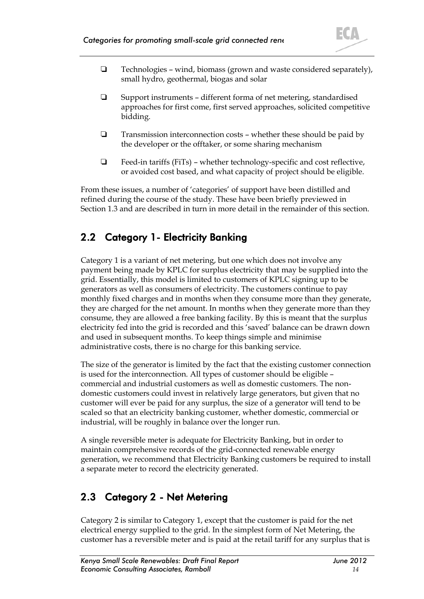

- $\Box$  Technologies wind, biomass (grown and waste considered separately), small hydro, geothermal, biogas and solar
- $\Box$  Support instruments different forma of net metering, standardised approaches for first come, first served approaches, solicited competitive bidding.
- $\Box$  Transmission interconnection costs whether these should be paid by the developer or the offtaker, or some sharing mechanism
- $\Box$  Feed-in tariffs (FiTs) whether technology-specific and cost reflective, or avoided cost based, and what capacity of project should be eligible.

From these issues, a number of 'categories' of support have been distilled and refined during the course of the study. These have been briefly previewed in Section [1.3](#page-9-2) and are described in turn in more detail in the remainder of this section.

## 2.2 Category 1- Electricity Banking

Category 1 is a variant of net metering, but one which does not involve any payment being made by KPLC for surplus electricity that may be supplied into the grid. Essentially, this model is limited to customers of KPLC signing up to be generators as well as consumers of electricity. The customers continue to pay monthly fixed charges and in months when they consume more than they generate, they are charged for the net amount. In months when they generate more than they consume, they are allowed a free banking facility. By this is meant that the surplus electricity fed into the grid is recorded and this 'saved' balance can be drawn down and used in subsequent months. To keep things simple and minimise administrative costs, there is no charge for this banking service.

The size of the generator is limited by the fact that the existing customer connection is used for the interconnection. All types of customer should be eligible – commercial and industrial customers as well as domestic customers. The nondomestic customers could invest in relatively large generators, but given that no customer will ever be paid for any surplus, the size of a generator will tend to be scaled so that an electricity banking customer, whether domestic, commercial or industrial, will be roughly in balance over the longer run.

A single reversible meter is adequate for Electricity Banking, but in order to maintain comprehensive records of the grid-connected renewable energy generation, we recommend that Electricity Banking customers be required to install a separate meter to record the electricity generated.

## 2.3 Category 2 - Net Metering

Category 2 is similar to Category 1, except that the customer is paid for the net electrical energy supplied to the grid. In the simplest form of Net Metering, the customer has a reversible meter and is paid at the retail tariff for any surplus that is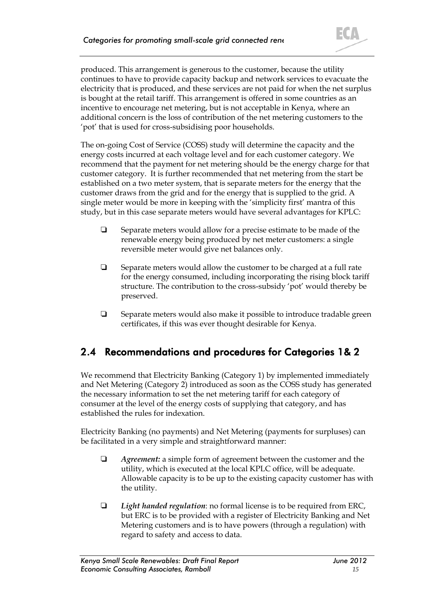

produced. This arrangement is generous to the customer, because the utility continues to have to provide capacity backup and network services to evacuate the electricity that is produced, and these services are not paid for when the net surplus is bought at the retail tariff. This arrangement is offered in some countries as an incentive to encourage net metering, but is not acceptable in Kenya, where an additional concern is the loss of contribution of the net metering customers to the 'pot' that is used for cross-subsidising poor households.

The on-going Cost of Service (COSS) study will determine the capacity and the energy costs incurred at each voltage level and for each customer category. We recommend that the payment for net metering should be the energy charge for that customer category. It is further recommended that net metering from the start be established on a two meter system, that is separate meters for the energy that the customer draws from the grid and for the energy that is supplied to the grid. A single meter would be more in keeping with the 'simplicity first' mantra of this study, but in this case separate meters would have several advantages for KPLC:

- $\Box$  Separate meters would allow for a precise estimate to be made of the renewable energy being produced by net meter customers: a single reversible meter would give net balances only.
- $\Box$  Separate meters would allow the customer to be charged at a full rate for the energy consumed, including incorporating the rising block tariff structure. The contribution to the cross-subsidy 'pot' would thereby be preserved.
- $\Box$  Separate meters would also make it possible to introduce tradable green certificates, if this was ever thought desirable for Kenya.

## 2.4 Recommendations and procedures for Categories 1& 2

We recommend that Electricity Banking (Category 1) by implemented immediately and Net Metering (Category 2) introduced as soon as the COSS study has generated the necessary information to set the net metering tariff for each category of consumer at the level of the energy costs of supplying that category, and has established the rules for indexation.

Electricity Banking (no payments) and Net Metering (payments for surpluses) can be facilitated in a very simple and straightforward manner:

- *Agreement:* a simple form of agreement between the customer and the utility, which is executed at the local KPLC office, will be adequate. Allowable capacity is to be up to the existing capacity customer has with the utility.
- *Light handed regulation*: no formal license is to be required from ERC, but ERC is to be provided with a register of Electricity Banking and Net Metering customers and is to have powers (through a regulation) with regard to safety and access to data.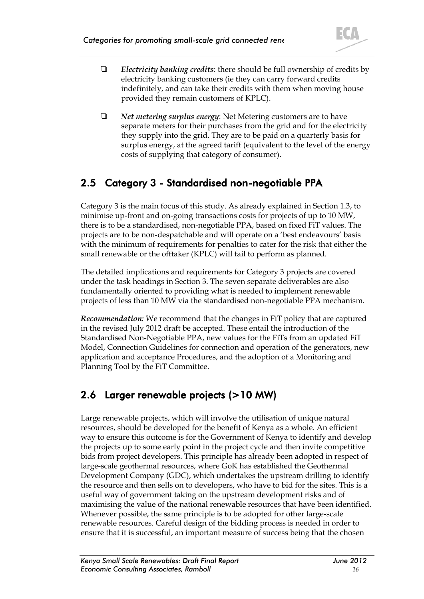

- *Electricity banking credits*: there should be full ownership of credits by electricity banking customers (ie they can carry forward credits indefinitely, and can take their credits with them when moving house provided they remain customers of KPLC).
- *Net metering surplus energy*: Net Metering customers are to have separate meters for their purchases from the grid and for the electricity they supply into the grid. They are to be paid on a quarterly basis for surplus energy, at the agreed tariff (equivalent to the level of the energy costs of supplying that category of consumer).

## 2.5 Category 3 - Standardised non-negotiable PPA

Category 3 is the main focus of this study. As already explained in Section [1.3,](#page-9-2) to minimise up-front and on-going transactions costs for projects of up to 10 MW, there is to be a standardised, non-negotiable PPA, based on fixed FiT values. The projects are to be non-despatchable and will operate on a 'best endeavours' basis with the minimum of requirements for penalties to cater for the risk that either the small renewable or the offtaker (KPLC) will fail to perform as planned.

The detailed implications and requirements for Category 3 projects are covered under the task headings in Section [3.](#page-20-0) The seven separate deliverables are also fundamentally oriented to providing what is needed to implement renewable projects of less than 10 MW via the standardised non-negotiable PPA mechanism.

*Recommendation:* We recommend that the changes in FiT policy that are captured in the revised July 2012 draft be accepted. These entail the introduction of the Standardised Non-Negotiable PPA, new values for the FiTs from an updated FiT Model, Connection Guidelines for connection and operation of the generators, new application and acceptance Procedures, and the adoption of a Monitoring and Planning Tool by the FiT Committee.

## 2.6 Larger renewable projects (>10 MW)

Large renewable projects, which will involve the utilisation of unique natural resources, should be developed for the benefit of Kenya as a whole. An efficient way to ensure this outcome is for the Government of Kenya to identify and develop the projects up to some early point in the project cycle and then invite competitive bids from project developers. This principle has already been adopted in respect of large-scale geothermal resources, where GoK has established the Geothermal Development Company (GDC), which undertakes the upstream drilling to identify the resource and then sells on to developers, who have to bid for the sites. This is a useful way of government taking on the upstream development risks and of maximising the value of the national renewable resources that have been identified. Whenever possible, the same principle is to be adopted for other large-scale renewable resources. Careful design of the bidding process is needed in order to ensure that it is successful, an important measure of success being that the chosen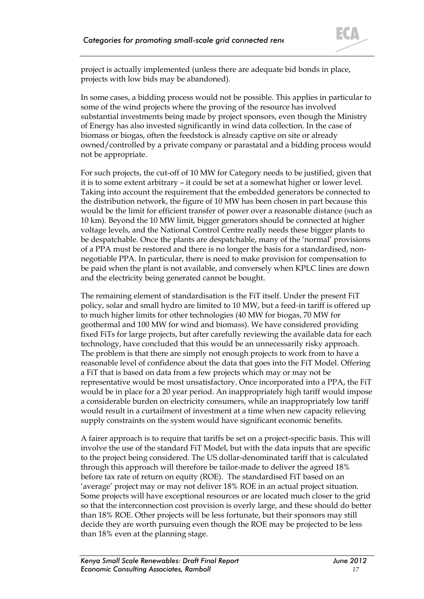

project is actually implemented (unless there are adequate bid bonds in place, projects with low bids may be abandoned).

In some cases, a bidding process would not be possible. This applies in particular to some of the wind projects where the proving of the resource has involved substantial investments being made by project sponsors, even though the Ministry of Energy has also invested significantly in wind data collection. In the case of biomass or biogas, often the feedstock is already captive on site or already owned/controlled by a private company or parastatal and a bidding process would not be appropriate.

For such projects, the cut-off of 10 MW for Category needs to be justified, given that it is to some extent arbitrary – it could be set at a somewhat higher or lower level. Taking into account the requirement that the embedded generators be connected to the distribution network, the figure of 10 MW has been chosen in part because this would be the limit for efficient transfer of power over a reasonable distance (such as 10 km). Beyond the 10 MW limit, bigger generators should be connected at higher voltage levels, and the National Control Centre really needs these bigger plants to be despatchable. Once the plants are despatchable, many of the 'normal' provisions of a PPA must be restored and there is no longer the basis for a standardised, nonnegotiable PPA. In particular, there is need to make provision for compensation to be paid when the plant is not available, and conversely when KPLC lines are down and the electricity being generated cannot be bought.

The remaining element of standardisation is the FiT itself. Under the present FiT policy, solar and small hydro are limited to 10 MW, but a feed-in tariff is offered up to much higher limits for other technologies (40 MW for biogas, 70 MW for geothermal and 100 MW for wind and biomass). We have considered providing fixed FiTs for large projects, but after carefully reviewing the available data for each technology, have concluded that this would be an unnecessarily risky approach. The problem is that there are simply not enough projects to work from to have a reasonable level of confidence about the data that goes into the FiT Model. Offering a FiT that is based on data from a few projects which may or may not be representative would be most unsatisfactory. Once incorporated into a PPA, the FiT would be in place for a 20 year period. An inappropriately high tariff would impose a considerable burden on electricity consumers, while an inappropriately low tariff would result in a curtailment of investment at a time when new capacity relieving supply constraints on the system would have significant economic benefits.

A fairer approach is to require that tariffs be set on a project-specific basis. This will involve the use of the standard FiT Model, but with the data inputs that are specific to the project being considered. The US dollar-denominated tariff that is calculated through this approach will therefore be tailor-made to deliver the agreed 18% before tax rate of return on equity (ROE). The standardised FiT based on an 'average' project may or may not deliver 18% ROE in an actual project situation. Some projects will have exceptional resources or are located much closer to the grid so that the interconnection cost provision is overly large, and these should do better than 18% ROE. Other projects will be less fortunate, but their sponsors may still decide they are worth pursuing even though the ROE may be projected to be less than 18% even at the planning stage.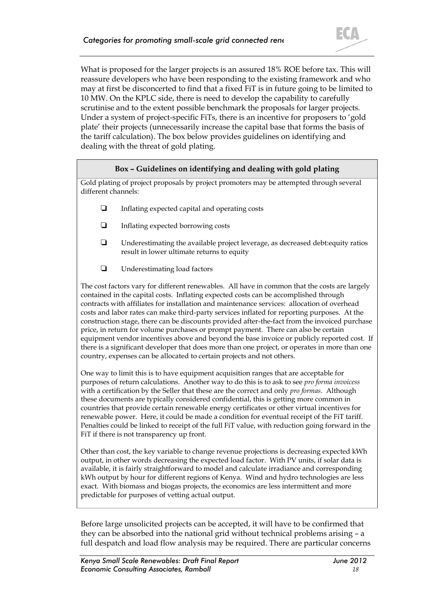

What is proposed for the larger projects is an assured 18% ROE before tax. This will reassure developers who have been responding to the existing framework and who may at first be disconcerted to find that a fixed FiT is in future going to be limited to 10 MW. On the KPLC side, there is need to develop the capability to carefully scrutinise and to the extent possible benchmark the proposals for larger projects. Under a system of project-specific FiTs, there is an incentive for proposers to 'gold plate' their projects (unnecessarily increase the capital base that forms the basis of the tariff calculation). The box below provides guidelines on identifying and dealing with the threat of gold plating.

#### **Box – Guidelines on identifying and dealing with gold plating**

Gold plating of project proposals by project promoters may be attempted through several different channels:

- Inflating expected capital and operating costs
- □ Inflating expected borrowing costs
- Underestimating the available project leverage, as decreased debt:equity ratios result in lower ultimate returns to equity
- □ Underestimating load factors

The cost factors vary for different renewables. All have in common that the costs are largely contained in the capital costs. Inflating expected costs can be accomplished through contracts with affiliates for installation and maintenance services: allocation of overhead costs and labor rates can make third-party services inflated for reporting purposes. At the construction stage, there can be discounts provided after-the-fact from the invoiced purchase price, in return for volume purchases or prompt payment. There can also be certain equipment vendor incentives above and beyond the base invoice or publicly reported cost. If there is a significant developer that does more than one project, or operates in more than one country, expenses can be allocated to certain projects and not others.

One way to limit this is to have equipment acquisition ranges that are acceptable for purposes of return calculations. Another way to do this is to ask to see *pro forma invoicess* with a certification by the Seller that these are the correct and only *pro formas*. Although these documents are typically considered confidential, this is getting more common in countries that provide certain renewable energy certificates or other virtual incentives for renewable power. Here, it could be made a condition for eventual receipt of the FiT tariff. Penalties could be linked to receipt of the full FiT value, with reduction going forward in the FiT if there is not transparency up front.

Other than cost, the key variable to change revenue projections is decreasing expected kWh output, in other words decreasing the expected load factor. With PV units, if solar data is available, it is fairly straightforward to model and calculate irradiance and corresponding kWh output by hour for different regions of Kenya. Wind and hydro technologies are less exact. With biomass and biogas projects, the economics are less intermittent and more predictable for purposes of vetting actual output.

Before large unsolicited projects can be accepted, it will have to be confirmed that they can be absorbed into the national grid without technical problems arising – a full despatch and load flow analysis may be required. There are particular concerns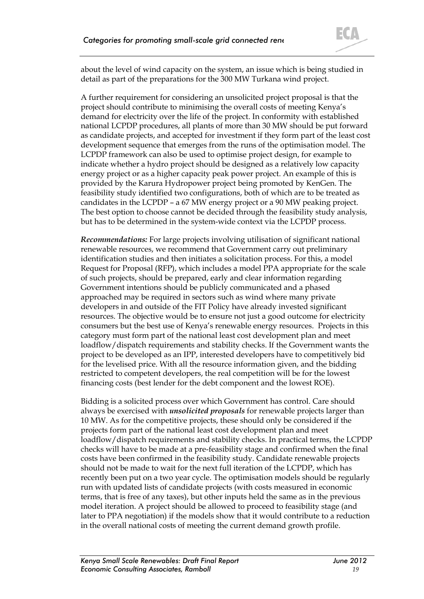

about the level of wind capacity on the system, an issue which is being studied in detail as part of the preparations for the 300 MW Turkana wind project.

A further requirement for considering an unsolicited project proposal is that the project should contribute to minimising the overall costs of meeting Kenya's demand for electricity over the life of the project. In conformity with established national LCPDP procedures, all plants of more than 30 MW should be put forward as candidate projects, and accepted for investment if they form part of the least cost development sequence that emerges from the runs of the optimisation model. The LCPDP framework can also be used to optimise project design, for example to indicate whether a hydro project should be designed as a relatively low capacity energy project or as a higher capacity peak power project. An example of this is provided by the Karura Hydropower project being promoted by KenGen. The feasibility study identified two configurations, both of which are to be treated as candidates in the LCPDP – a 67 MW energy project or a 90 MW peaking project. The best option to choose cannot be decided through the feasibility study analysis, but has to be determined in the system-wide context via the LCPDP process.

*Recommendations:* For large projects involving utilisation of significant national renewable resources, we recommend that Government carry out preliminary identification studies and then initiates a solicitation process. For this, a model Request for Proposal (RFP), which includes a model PPA appropriate for the scale of such projects, should be prepared, early and clear information regarding Government intentions should be publicly communicated and a phased approached may be required in sectors such as wind where many private developers in and outside of the FIT Policy have already invested significant resources. The objective would be to ensure not just a good outcome for electricity consumers but the best use of Kenya's renewable energy resources. Projects in this category must form part of the national least cost development plan and meet loadflow/dispatch requirements and stability checks. If the Government wants the project to be developed as an IPP, interested developers have to competitively bid for the levelised price. With all the resource information given, and the bidding restricted to competent developers, the real competition will be for the lowest financing costs (best lender for the debt component and the lowest ROE).

Bidding is a solicited process over which Government has control. Care should always be exercised with *unsolicited proposals* for renewable projects larger than 10 MW. As for the competitive projects, these should only be considered if the projects form part of the national least cost development plan and meet loadflow/dispatch requirements and stability checks. In practical terms, the LCPDP checks will have to be made at a pre-feasibility stage and confirmed when the final costs have been confirmed in the feasibility study. Candidate renewable projects should not be made to wait for the next full iteration of the LCPDP, which has recently been put on a two year cycle. The optimisation models should be regularly run with updated lists of candidate projects (with costs measured in economic terms, that is free of any taxes), but other inputs held the same as in the previous model iteration. A project should be allowed to proceed to feasibility stage (and later to PPA negotiation) if the models show that it would contribute to a reduction in the overall national costs of meeting the current demand growth profile.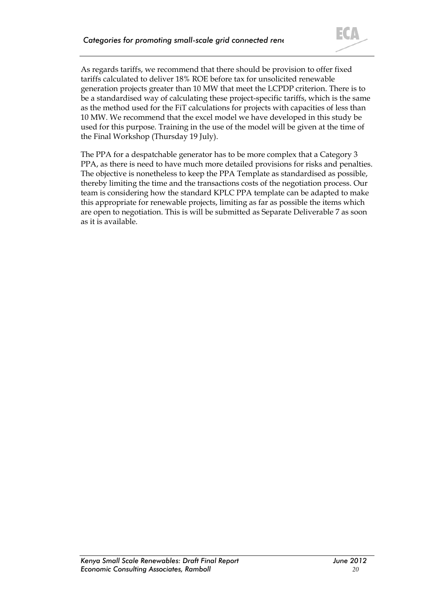

As regards tariffs, we recommend that there should be provision to offer fixed tariffs calculated to deliver 18% ROE before tax for unsolicited renewable generation projects greater than 10 MW that meet the LCPDP criterion. There is to be a standardised way of calculating these project-specific tariffs, which is the same as the method used for the FiT calculations for projects with capacities of less than 10 MW. We recommend that the excel model we have developed in this study be used for this purpose. Training in the use of the model will be given at the time of the Final Workshop (Thursday 19 July).

The PPA for a despatchable generator has to be more complex that a Category 3 PPA, as there is need to have much more detailed provisions for risks and penalties. The objective is nonetheless to keep the PPA Template as standardised as possible, thereby limiting the time and the transactions costs of the negotiation process. Our team is considering how the standard KPLC PPA template can be adapted to make this appropriate for renewable projects, limiting as far as possible the items which are open to negotiation. This is will be submitted as Separate Deliverable 7 as soon as it is available.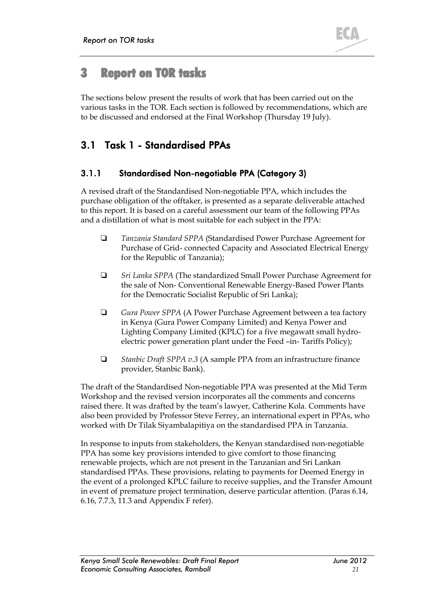

# <span id="page-20-0"></span>3 Report on TOR tasks

The sections below present the results of work that has been carried out on the various tasks in the TOR. Each section is followed by recommendations, which are to be discussed and endorsed at the Final Workshop (Thursday 19 July).

## 3.1 Task 1 - Standardised PPAs

### 3.1.1 Standardised Non-negotiable PPA (Category 3)

A revised draft of the Standardised Non-negotiable PPA, which includes the purchase obligation of the offtaker, is presented as a separate deliverable attached to this report. It is based on a careful assessment our team of the following PPAs and a distillation of what is most suitable for each subject in the PPA:

- *Tanzania Standard SPPA* (Standardised Power Purchase Agreement for Purchase of Grid- connected Capacity and Associated Electrical Energy for the Republic of Tanzania);
- *Sri Lanka SPPA* (The standardized Small Power Purchase Agreement for the sale of Non- Conventional Renewable Energy-Based Power Plants for the Democratic Socialist Republic of Sri Lanka);
- *Gura Power SPPA* (A Power Purchase Agreement between a tea factory in Kenya (Gura Power Company Limited) and Kenya Power and Lighting Company Limited (KPLC) for a five megawatt small hydroelectric power generation plant under the Feed –in- Tariffs Policy);
- *Stanbic Draft SPPA v.3* (A sample PPA from an infrastructure finance provider, Stanbic Bank).

The draft of the Standardised Non-negotiable PPA was presented at the Mid Term Workshop and the revised version incorporates all the comments and concerns raised there. It was drafted by the team's lawyer, Catherine Kola. Comments have also been provided by Professor Steve Ferrey, an international expert in PPAs, who worked with Dr Tilak Siyambalapitiya on the standardised PPA in Tanzania.

In response to inputs from stakeholders, the Kenyan standardised non-negotiable PPA has some key provisions intended to give comfort to those financing renewable projects, which are not present in the Tanzanian and Sri Lankan standardised PPAs. These provisions, relating to payments for Deemed Energy in the event of a prolonged KPLC failure to receive supplies, and the Transfer Amount in event of premature project termination, deserve particular attention. (Paras 6.14, 6.16, 7.7.3, 11.3 and Appendix F refer).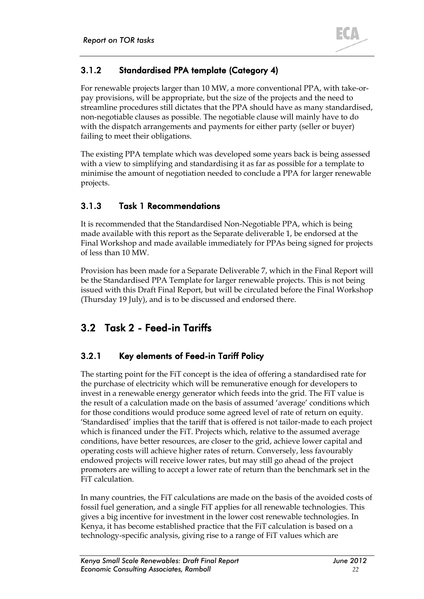

### 3.1.2 Standardised PPA template (Category 4)

For renewable projects larger than 10 MW, a more conventional PPA, with take-orpay provisions, will be appropriate, but the size of the projects and the need to streamline procedures still dictates that the PPA should have as many standardised, non-negotiable clauses as possible. The negotiable clause will mainly have to do with the dispatch arrangements and payments for either party (seller or buyer) failing to meet their obligations.

The existing PPA template which was developed some years back is being assessed with a view to simplifying and standardising it as far as possible for a template to minimise the amount of negotiation needed to conclude a PPA for larger renewable projects.

### 3.1.3 Task 1 Recommendations

It is recommended that the Standardised Non-Negotiable PPA, which is being made available with this report as the Separate deliverable 1, be endorsed at the Final Workshop and made available immediately for PPAs being signed for projects of less than 10 MW.

Provision has been made for a Separate Deliverable 7, which in the Final Report will be the Standardised PPA Template for larger renewable projects. This is not being issued with this Draft Final Report, but will be circulated before the Final Workshop (Thursday 19 July), and is to be discussed and endorsed there.

## 3.2 Task 2 - Feed-in Tariffs

### 3.2.1 Key elements of Feed-in Tariff Policy

The starting point for the FiT concept is the idea of offering a standardised rate for the purchase of electricity which will be remunerative enough for developers to invest in a renewable energy generator which feeds into the grid. The FiT value is the result of a calculation made on the basis of assumed 'average' conditions which for those conditions would produce some agreed level of rate of return on equity. 'Standardised' implies that the tariff that is offered is not tailor-made to each project which is financed under the FiT. Projects which, relative to the assumed average conditions, have better resources, are closer to the grid, achieve lower capital and operating costs will achieve higher rates of return. Conversely, less favourably endowed projects will receive lower rates, but may still go ahead of the project promoters are willing to accept a lower rate of return than the benchmark set in the FiT calculation.

In many countries, the FiT calculations are made on the basis of the avoided costs of fossil fuel generation, and a single FiT applies for all renewable technologies. This gives a big incentive for investment in the lower cost renewable technologies. In Kenya, it has become established practice that the FiT calculation is based on a technology-specific analysis, giving rise to a range of FiT values which are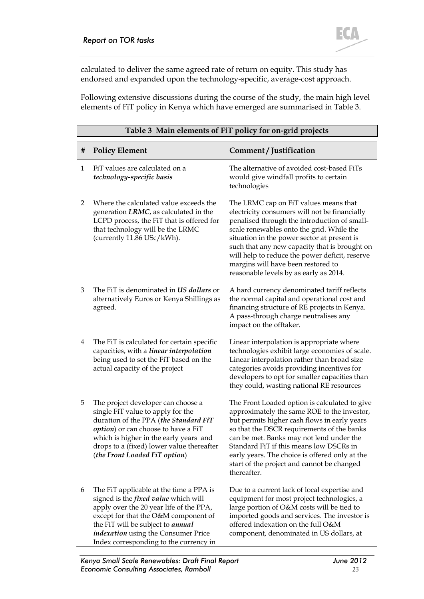

calculated to deliver the same agreed rate of return on equity. This study has endorsed and expanded upon the technology-specific, average-cost approach.

Following extensive discussions during the course of the study, the main high level elements of FiT policy in Kenya which have emerged are summarised in [Table 3.](#page-22-1)

<span id="page-22-1"></span><span id="page-22-0"></span>

|   |                                                                                                                                                                                                                                                                                                 | Table 3 Main elements of FiT policy for on-grid projects                                                                                                                                                                                                                                                                                                                                                              |
|---|-------------------------------------------------------------------------------------------------------------------------------------------------------------------------------------------------------------------------------------------------------------------------------------------------|-----------------------------------------------------------------------------------------------------------------------------------------------------------------------------------------------------------------------------------------------------------------------------------------------------------------------------------------------------------------------------------------------------------------------|
| # | <b>Policy Element</b>                                                                                                                                                                                                                                                                           | Comment / Justification                                                                                                                                                                                                                                                                                                                                                                                               |
| 1 | FiT values are calculated on a<br>technology-specific basis                                                                                                                                                                                                                                     | The alternative of avoided cost-based FiTs<br>would give windfall profits to certain<br>technologies                                                                                                                                                                                                                                                                                                                  |
| 2 | Where the calculated value exceeds the<br>generation LRMC, as calculated in the<br>LCPD process, the FiT that is offered for<br>that technology will be the LRMC<br>(currently 11.86 USc/kWh).                                                                                                  | The LRMC cap on FiT values means that<br>electricity consumers will not be financially<br>penalised through the introduction of small-<br>scale renewables onto the grid. While the<br>situation in the power sector at present is<br>such that any new capacity that is brought on<br>will help to reduce the power deficit, reserve<br>margins will have been restored to<br>reasonable levels by as early as 2014. |
| 3 | The FiT is denominated in US dollars or<br>alternatively Euros or Kenya Shillings as<br>agreed.                                                                                                                                                                                                 | A hard currency denominated tariff reflects<br>the normal capital and operational cost and<br>financing structure of RE projects in Kenya.<br>A pass-through charge neutralises any<br>impact on the offtaker.                                                                                                                                                                                                        |
| 4 | The FiT is calculated for certain specific<br>capacities, with a linear interpolation<br>being used to set the FiT based on the<br>actual capacity of the project                                                                                                                               | Linear interpolation is appropriate where<br>technologies exhibit large economies of scale.<br>Linear interpolation rather than broad size<br>categories avoids providing incentives for<br>developers to opt for smaller capacities than<br>they could, wasting national RE resources                                                                                                                                |
| 5 | The project developer can choose a<br>single FiT value to apply for the<br>duration of the PPA (the Standard FiT<br>option) or can choose to have a FiT<br>which is higher in the early years and<br>drops to a (fixed) lower value thereafter<br>(the Front Loaded FiT option)                 | The Front Loaded option is calculated to give<br>approximately the same ROE to the investor,<br>but permits higher cash flows in early years<br>so that the DSCR requirements of the banks<br>can be met. Banks may not lend under the<br>Standard FiT if this means low DSCRs in<br>early years. The choice is offered only at the<br>start of the project and cannot be changed<br>thereafter.                      |
| 6 | The FiT applicable at the time a PPA is<br>signed is the <i>fixed value</i> which will<br>apply over the 20 year life of the PPA,<br>except for that the O&M component of<br>the FiT will be subject to annual<br>indexation using the Consumer Price<br>Index corresponding to the currency in | Due to a current lack of local expertise and<br>equipment for most project technologies, a<br>large portion of O&M costs will be tied to<br>imported goods and services. The investor is<br>offered indexation on the full O&M<br>component, denominated in US dollars, at                                                                                                                                            |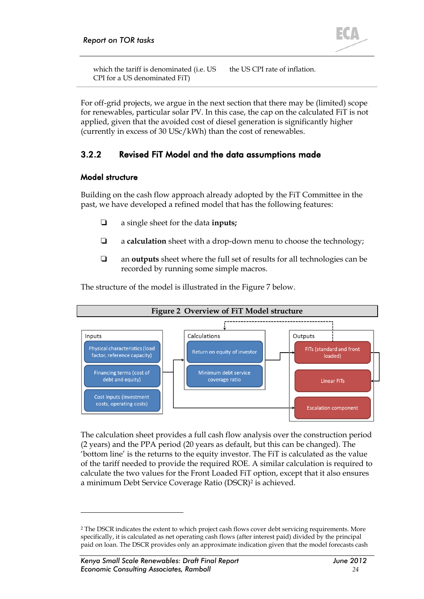

which the tariff is denominated (i.e. US CPI for a US denominated FiT) the US CPI rate of inflation.

For off-grid projects, we argue in the next section that there may be (limited) scope for renewables, particular solar PV. In this case, the cap on the calculated FiT is not applied, given that the avoided cost of diesel generation is significantly higher (currently in excess of 30 USc/kWh) than the cost of renewables.

### 3.2.2 Revised FiT Model and the data assumptions made

#### Model structure

Building on the cash flow approach already adopted by the FiT Committee in the past, we have developed a refined model that has the following features:

- a single sheet for the data **inputs;**
- a **calculation** sheet with a drop-down menu to choose the technology;
- an **outputs** sheet where the full set of results for all technologies can be recorded by running some simple macros.

The structure of the model is illustrated in the [Figure 7](#page-30-1) below.

<span id="page-23-0"></span>

The calculation sheet provides a full cash flow analysis over the construction period (2 years) and the PPA period (20 years as default, but this can be changed). The 'bottom line' is the returns to the equity investor. The FiT is calculated as the value of the tariff needed to provide the required ROE. A similar calculation is required to calculate the two values for the Front Loaded FiT option, except that it also ensures a minimum Debt Service Coverage Ratio (DSCR)<sup>2</sup> is achieved.

 $\overline{a}$ 

<sup>2</sup> The DSCR indicates the extent to which project cash flows cover debt servicing requirements. More specifically, it is calculated as net operating cash flows (after interest paid) divided by the principal paid on loan. The DSCR provides only an approximate indication given that the model forecasts cash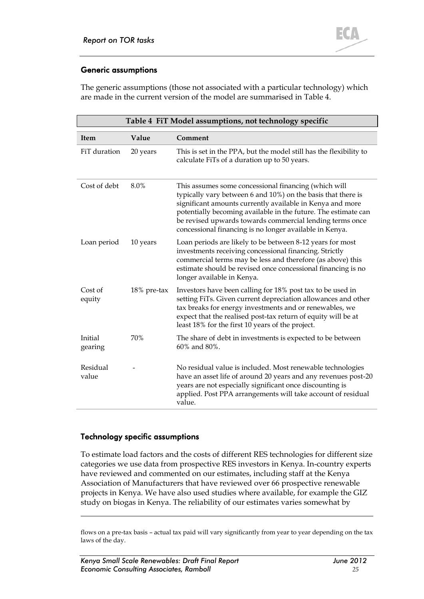

#### Generic assumptions

The generic assumptions (those not associated with a particular technology) which are made in the current version of the model are summarised in [Table 4.](#page-24-1)

<span id="page-24-1"></span><span id="page-24-0"></span>

| Table 4 FiT Model assumptions, not technology specific |             |                                                                                                                                                                                                                                                                                                                                                                            |  |  |  |  |  |  |
|--------------------------------------------------------|-------------|----------------------------------------------------------------------------------------------------------------------------------------------------------------------------------------------------------------------------------------------------------------------------------------------------------------------------------------------------------------------------|--|--|--|--|--|--|
| <b>Item</b>                                            | Value       | Comment                                                                                                                                                                                                                                                                                                                                                                    |  |  |  |  |  |  |
| FiT duration                                           | 20 years    | This is set in the PPA, but the model still has the flexibility to<br>calculate FiTs of a duration up to 50 years.                                                                                                                                                                                                                                                         |  |  |  |  |  |  |
| Cost of debt                                           | 8.0%        | This assumes some concessional financing (which will<br>typically vary between 6 and 10%) on the basis that there is<br>significant amounts currently available in Kenya and more<br>potentially becoming available in the future. The estimate can<br>be revised upwards towards commercial lending terms once<br>concessional financing is no longer available in Kenya. |  |  |  |  |  |  |
| Loan period                                            | 10 years    | Loan periods are likely to be between 8-12 years for most<br>investments receiving concessional financing. Strictly<br>commercial terms may be less and therefore (as above) this<br>estimate should be revised once concessional financing is no<br>longer available in Kenya.                                                                                            |  |  |  |  |  |  |
| Cost of<br>equity                                      | 18% pre-tax | Investors have been calling for 18% post tax to be used in<br>setting FiTs. Given current depreciation allowances and other<br>tax breaks for energy investments and or renewables, we<br>expect that the realised post-tax return of equity will be at<br>least 18% for the first 10 years of the project.                                                                |  |  |  |  |  |  |
| Initial<br>gearing                                     | 70%         | The share of debt in investments is expected to be between<br>60% and 80%.                                                                                                                                                                                                                                                                                                 |  |  |  |  |  |  |
| Residual<br>value                                      |             | No residual value is included. Most renewable technologies<br>have an asset life of around 20 years and any revenues post-20<br>years are not especially significant once discounting is<br>applied. Post PPA arrangements will take account of residual<br>value.                                                                                                         |  |  |  |  |  |  |

#### Technology specific assumptions

 $\ddot{\phantom{a}}$ 

To estimate load factors and the costs of different RES technologies for different size categories we use data from prospective RES investors in Kenya. In-country experts have reviewed and commented on our estimates, including staff at the Kenya Association of Manufacturers that have reviewed over 66 prospective renewable projects in Kenya. We have also used studies where available, for example the GIZ study on biogas in Kenya. The reliability of our estimates varies somewhat by

flows on a pre-tax basis – actual tax paid will vary significantly from year to year depending on the tax laws of the day.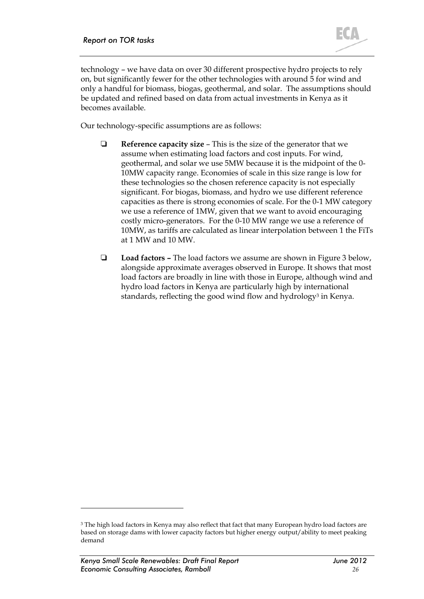

technology – we have data on over 30 different prospective hydro projects to rely on, but significantly fewer for the other technologies with around 5 for wind and only a handful for biomass, biogas, geothermal, and solar. The assumptions should be updated and refined based on data from actual investments in Kenya as it becomes available.

Our technology-specific assumptions are as follows:

- **Reference capacity size This is the size of the generator that we** assume when estimating load factors and cost inputs. For wind, geothermal, and solar we use 5MW because it is the midpoint of the 0- 10MW capacity range. Economies of scale in this size range is low for these technologies so the chosen reference capacity is not especially significant. For biogas, biomass, and hydro we use different reference capacities as there is strong economies of scale. For the 0-1 MW category we use a reference of 1MW, given that we want to avoid encouraging costly micro-generators. For the 0-10 MW range we use a reference of 10MW, as tariffs are calculated as linear interpolation between 1 the FiTs at 1 MW and 10 MW.
- **Load factors –** The load factors we assume are shown in [Figure 3](#page-26-1) below, alongside approximate averages observed in Europe. It shows that most load factors are broadly in line with those in Europe, although wind and hydro load factors in Kenya are particularly high by international standards, reflecting the good wind flow and hydrology<sup>3</sup> in Kenya.

 $\overline{a}$ 

<sup>&</sup>lt;sup>3</sup> The high load factors in Kenya may also reflect that fact that many European hydro load factors are based on storage dams with lower capacity factors but higher energy output/ability to meet peaking demand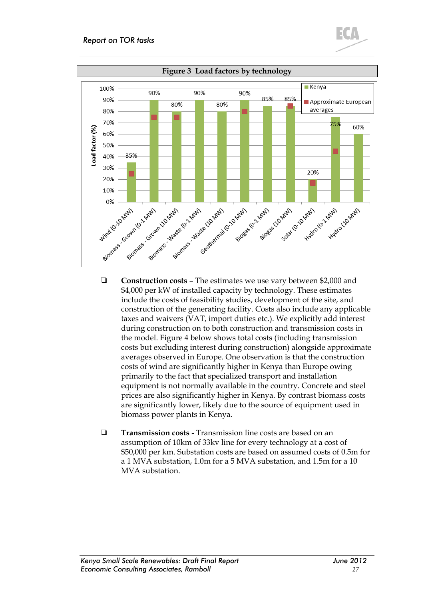#### *Report on TOR tasks*



<span id="page-26-1"></span><span id="page-26-0"></span>

- **Construction costs** The estimates we use vary between \$2,000 and \$4,000 per kW of installed capacity by technology. These estimates include the costs of feasibility studies, development of the site, and construction of the generating facility. Costs also include any applicable taxes and waivers (VAT, import duties etc.). We explicitly add interest during construction on to both construction and transmission costs in the model. [Figure 4](#page-27-1) below shows total costs (including transmission costs but excluding interest during construction) alongside approximate averages observed in Europe. One observation is that the construction costs of wind are significantly higher in Kenya than Europe owing primarily to the fact that specialized transport and installation equipment is not normally available in the country. Concrete and steel prices are also significantly higher in Kenya. By contrast biomass costs are significantly lower, likely due to the source of equipment used in biomass power plants in Kenya.
- **Transmission costs** Transmission line costs are based on an assumption of 10km of 33kv line for every technology at a cost of \$50,000 per km. Substation costs are based on assumed costs of 0.5m for a 1 MVA substation, 1.0m for a 5 MVA substation, and 1.5m for a 10 MVA substation.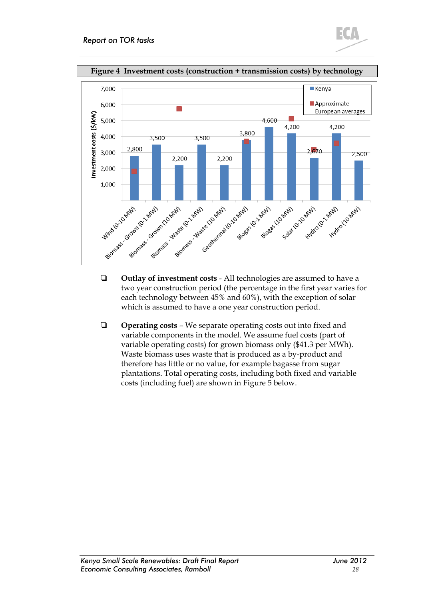

<span id="page-27-1"></span><span id="page-27-0"></span>

**Figure 4 Investment costs (construction + transmission costs) by technology**

- **Outlay of investment costs** All technologies are assumed to have a two year construction period (the percentage in the first year varies for each technology between 45% and 60%), with the exception of solar which is assumed to have a one year construction period.
- **Operating costs**  We separate operating costs out into fixed and variable components in the model. We assume fuel costs (part of variable operating costs) for grown biomass only (\$41.3 per MWh). Waste biomass uses waste that is produced as a by-product and therefore has little or no value, for example bagasse from sugar plantations. Total operating costs, including both fixed and variable costs (including fuel) are shown in [Figure 5](#page-28-1) below.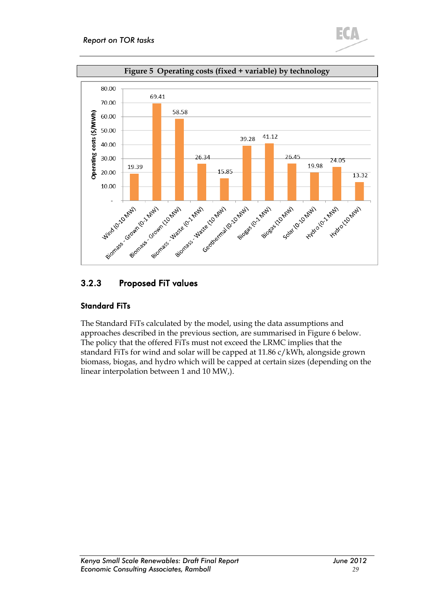

<span id="page-28-1"></span><span id="page-28-0"></span>

### 3.2.3 Proposed FiT values

### Standard FiTs

The Standard FiTs calculated by the model, using the data assumptions and approaches described in the previous section, are summarised in [Figure 6](#page-29-1) below. The policy that the offered FiTs must not exceed the LRMC implies that the standard FiTs for wind and solar will be capped at 11.86 c/kWh, alongside grown biomass, biogas, and hydro which will be capped at certain sizes (depending on the linear interpolation between 1 and 10 MW,).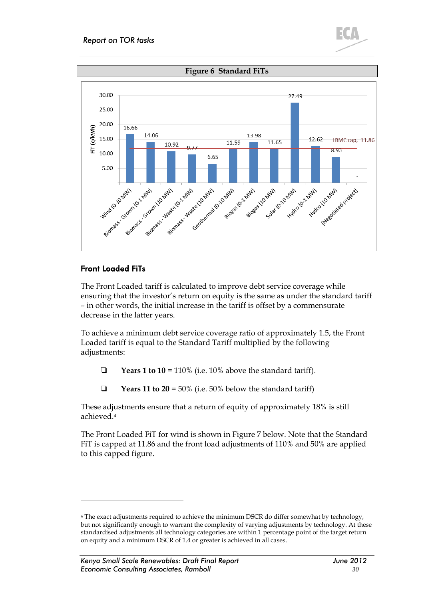

<span id="page-29-1"></span><span id="page-29-0"></span>

#### Front Loaded FiTs

 $\ddot{\phantom{a}}$ 

The Front Loaded tariff is calculated to improve debt service coverage while ensuring that the investor's return on equity is the same as under the standard tariff – in other words, the initial increase in the tariff is offset by a commensurate decrease in the latter years.

To achieve a minimum debt service coverage ratio of approximately 1.5, the Front Loaded tariff is equal to the Standard Tariff multiplied by the following adjustments:

- $\Box$  Years 1 to 10 = 110% (i.e. 10% above the standard tariff).
- $\Box$  Years 11 to 20 = 50% (i.e. 50% below the standard tariff)

These adjustments ensure that a return of equity of approximately 18% is still achieved. 4

The Front Loaded FiT for wind is shown in [Figure 7](#page-30-1) below. Note that the Standard FiT is capped at 11.86 and the front load adjustments of 110% and 50% are applied to this capped figure.

<sup>4</sup> The exact adjustments required to achieve the minimum DSCR do differ somewhat by technology, but not significantly enough to warrant the complexity of varying adjustments by technology. At these standardised adjustments all technology categories are within 1 percentage point of the target return on equity and a minimum DSCR of 1.4 or greater is achieved in all cases.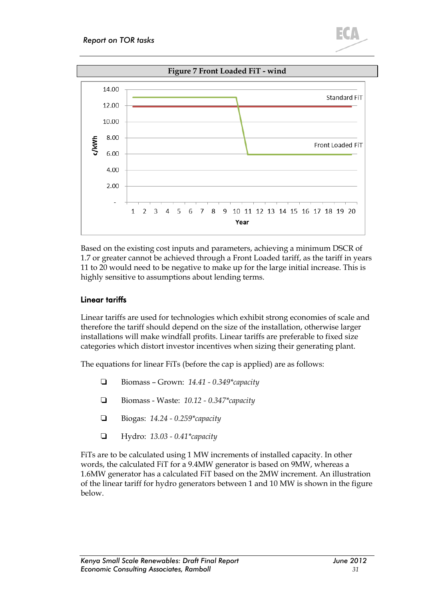<span id="page-30-1"></span><span id="page-30-0"></span>

Based on the existing cost inputs and parameters, achieving a minimum DSCR of 1.7 or greater cannot be achieved through a Front Loaded tariff, as the tariff in years 11 to 20 would need to be negative to make up for the large initial increase. This is highly sensitive to assumptions about lending terms.

#### Linear tariffs

Linear tariffs are used for technologies which exhibit strong economies of scale and therefore the tariff should depend on the size of the installation, otherwise larger installations will make windfall profits. Linear tariffs are preferable to fixed size categories which distort investor incentives when sizing their generating plant.

The equations for linear FiTs (before the cap is applied) are as follows:

- Biomass Grown: *14.41 - 0.349\*capacity*
- Biomass Waste: *10.12 - 0.347\*capacity*
- Biogas: *14.24 - 0.259\*capacity*
- Hydro: *13.03 - 0.41\*capacity*

FiTs are to be calculated using 1 MW increments of installed capacity. In other words, the calculated FiT for a 9.4MW generator is based on 9MW, whereas a 1.6MW generator has a calculated FiT based on the 2MW increment. An illustration of the linear tariff for hydro generators between 1 and 10 MW is shown in the figure below.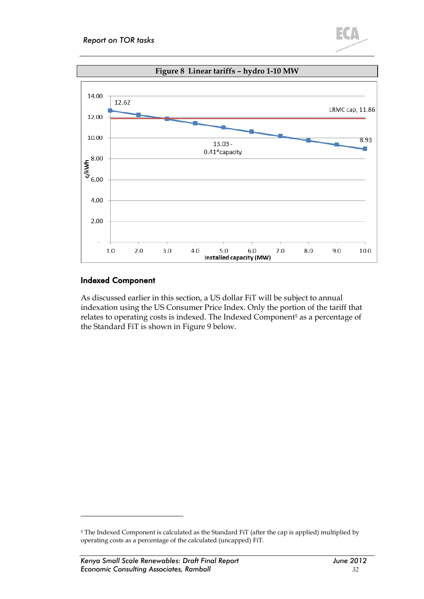<span id="page-31-0"></span>

#### Indexed Component

 $\ddot{\phantom{a}}$ 

As discussed earlier in this section, a US dollar FiT will be subject to annual indexation using the US Consumer Price Index. Only the portion of the tariff that relates to operating costs is indexed. The Indexed Component<sup>5</sup> as a percentage of the Standard FiT is shown in [Figure 9](#page-32-1) below.

<sup>5</sup> The Indexed Component is calculated as the Standard FiT (after the cap is applied) multiplied by operating costs as a percentage of the calculated (uncapped) FiT.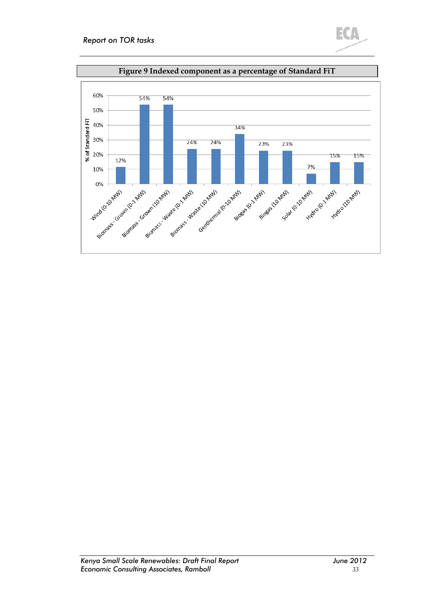<span id="page-32-1"></span><span id="page-32-0"></span>

ECA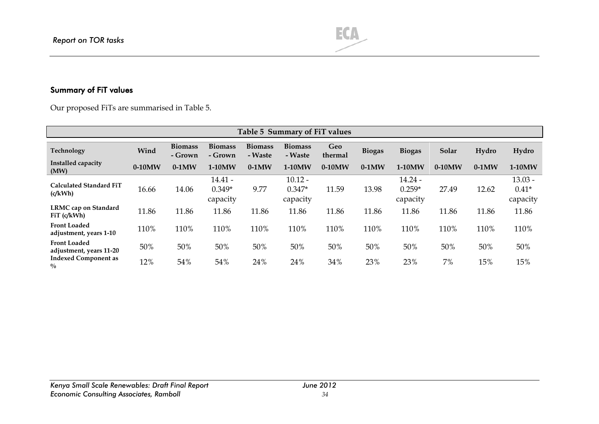### Summary of FiT values

Our proposed FiTs are summarised in [Table 5.](#page-33-1)

<span id="page-33-1"></span><span id="page-33-0"></span>

| Table 5 Summary of FiT values                  |          |                           |                                   |                           |                                   |                |               |                                   |          |          |                                  |
|------------------------------------------------|----------|---------------------------|-----------------------------------|---------------------------|-----------------------------------|----------------|---------------|-----------------------------------|----------|----------|----------------------------------|
| Technology                                     | Wind     | <b>Biomass</b><br>- Grown | <b>Biomass</b><br>- Grown         | <b>Biomass</b><br>- Waste | <b>Biomass</b><br>- Waste         | Geo<br>thermal | <b>Biogas</b> | <b>Biogas</b>                     | Solar    | Hydro    | Hydro                            |
| Installed capacity<br>(MW)                     | $0-10MW$ | $0-1$ MW                  | $1-10MW$                          | $0-1$ MW                  | 1-10MW                            | $0-10MW$       | $0-1$ MW      | $1-10MW$                          | $0-10MW$ | $0-1$ MW | 1-10MW                           |
| Calculated Standard FiT<br>(c/kWh)             | 16.66    | 14.06                     | $14.41 -$<br>$0.349*$<br>capacity | 9.77                      | $10.12 -$<br>$0.347*$<br>capacity | 11.59          | 13.98         | $14.24 -$<br>$0.259*$<br>capacity | 27.49    | 12.62    | $13.03 -$<br>$0.41*$<br>capacity |
| LRMC cap on Standard<br>FiT (c/kWh)            | 11.86    | 11.86                     | 11.86                             | 11.86                     | 11.86                             | 11.86          | 11.86         | 11.86                             | 11.86    | 11.86    | 11.86                            |
| <b>Front Loaded</b><br>adjustment, years 1-10  | 110%     | 110%                      | 110%                              | 110%                      | 110%                              | 110%           | 110%          | 110%                              | 110%     | 110%     | 110%                             |
| <b>Front Loaded</b><br>adjustment, years 11-20 | 50%      | 50%                       | 50%                               | 50%                       | 50%                               | 50%            | 50%           | 50%                               | 50%      | 50%      | 50%                              |
| <b>Indexed Component as</b><br>$\frac{0}{0}$   | 12%      | 54%                       | 54%                               | 24%                       | 24%                               | 34%            | 23%           | 23%                               | 7%       | 15%      | 15%                              |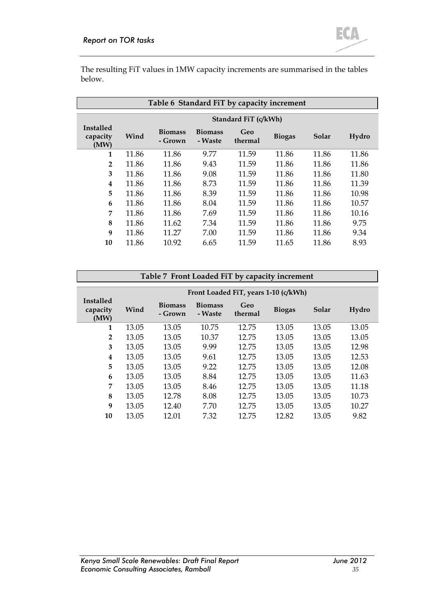

The resulting FiT values in 1MW capacity increments are summarised in the tables below.

<span id="page-34-0"></span>

| Table 6 Standard FiT by capacity increment |                      |       |       |       |       |       |       |  |  |  |  |
|--------------------------------------------|----------------------|-------|-------|-------|-------|-------|-------|--|--|--|--|
|                                            | Standard FiT (c/kWh) |       |       |       |       |       |       |  |  |  |  |
| Installed<br>capacity<br>(MW)              | Wind                 | Solar | Hydro |       |       |       |       |  |  |  |  |
| 1                                          | 11.86                | 11.86 | 9.77  | 11.59 | 11.86 | 11.86 | 11.86 |  |  |  |  |
| $\overline{2}$                             | 11.86                | 11.86 | 9.43  | 11.59 | 11.86 | 11.86 | 11.86 |  |  |  |  |
| 3                                          | 11.86                | 11.86 | 9.08  | 11.59 | 11.86 | 11.86 | 11.80 |  |  |  |  |
| 4                                          | 11.86                | 11.86 | 8.73  | 11.59 | 11.86 | 11.86 | 11.39 |  |  |  |  |
| 5                                          | 11.86                | 11.86 | 8.39  | 11.59 | 11.86 | 11.86 | 10.98 |  |  |  |  |
| 6                                          | 11.86                | 11.86 | 8.04  | 11.59 | 11.86 | 11.86 | 10.57 |  |  |  |  |
| 7                                          | 11.86                | 11.86 | 7.69  | 11.59 | 11.86 | 11.86 | 10.16 |  |  |  |  |
| 8                                          | 11.86                | 11.62 | 7.34  | 11.59 | 11.86 | 11.86 | 9.75  |  |  |  |  |
| 9                                          | 11.86                | 11.27 | 7.00  | 11.59 | 11.86 | 11.86 | 9.34  |  |  |  |  |
| 10                                         | 11.86                | 10.92 | 6.65  | 11.59 | 11.65 | 11.86 | 8.93  |  |  |  |  |

<span id="page-34-1"></span>

| Table 7 Front Loaded FiT by capacity increment |                                      |                           |                           |                |               |       |       |  |  |  |  |
|------------------------------------------------|--------------------------------------|---------------------------|---------------------------|----------------|---------------|-------|-------|--|--|--|--|
|                                                | Front Loaded FiT, years 1-10 (c/kWh) |                           |                           |                |               |       |       |  |  |  |  |
| Installed<br>capacity<br>(MW)                  | Wind                                 | <b>Biomass</b><br>- Grown | <b>Biomass</b><br>- Waste | Geo<br>thermal | <b>Biogas</b> | Solar | Hydro |  |  |  |  |
| 1                                              | 13.05                                | 13.05                     | 10.75                     | 12.75          | 13.05         | 13.05 | 13.05 |  |  |  |  |
| $\overline{2}$                                 | 13.05                                | 13.05                     | 10.37                     | 12.75          | 13.05         | 13.05 | 13.05 |  |  |  |  |
| 3                                              | 13.05                                | 13.05                     | 9.99                      | 12.75          | 13.05         | 13.05 | 12.98 |  |  |  |  |
| 4                                              | 13.05                                | 13.05                     | 9.61                      | 12.75          | 13.05         | 13.05 | 12.53 |  |  |  |  |
| 5                                              | 13.05                                | 13.05                     | 9.22                      | 12.75          | 13.05         | 13.05 | 12.08 |  |  |  |  |
| 6                                              | 13.05                                | 13.05                     | 8.84                      | 12.75          | 13.05         | 13.05 | 11.63 |  |  |  |  |
| 7                                              | 13.05                                | 13.05                     | 8.46                      | 12.75          | 13.05         | 13.05 | 11.18 |  |  |  |  |
| 8                                              | 13.05                                | 12.78                     | 8.08                      | 12.75          | 13.05         | 13.05 | 10.73 |  |  |  |  |
| 9                                              | 13.05                                | 12.40                     | 7.70                      | 12.75          | 13.05         | 13.05 | 10.27 |  |  |  |  |
| 10                                             | 13.05                                | 12.01                     | 7.32                      | 12.75          | 12.82         | 13.05 | 9.82  |  |  |  |  |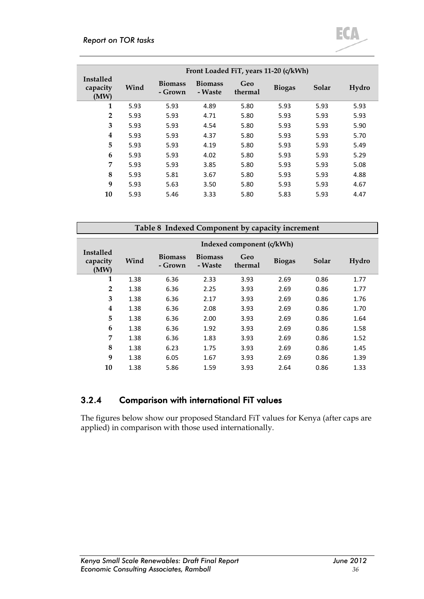#### *Report on TOR tasks*



|                                      | Front Loaded FiT, years 11-20 (c/kWh) |                           |                           |                |               |       |       |  |  |  |
|--------------------------------------|---------------------------------------|---------------------------|---------------------------|----------------|---------------|-------|-------|--|--|--|
| <b>Installed</b><br>capacity<br>(MW) | Wind                                  | <b>Biomass</b><br>- Grown | <b>Biomass</b><br>- Waste | Geo<br>thermal | <b>Biogas</b> | Solar | Hydro |  |  |  |
| 1                                    | 5.93                                  | 5.93                      | 4.89                      | 5.80           | 5.93          | 5.93  | 5.93  |  |  |  |
| $\overline{2}$                       | 5.93                                  | 5.93                      | 4.71                      | 5.80           | 5.93          | 5.93  | 5.93  |  |  |  |
| 3                                    | 5.93                                  | 5.93                      | 4.54                      | 5.80           | 5.93          | 5.93  | 5.90  |  |  |  |
| 4                                    | 5.93                                  | 5.93                      | 4.37                      | 5.80           | 5.93          | 5.93  | 5.70  |  |  |  |
| 5                                    | 5.93                                  | 5.93                      | 4.19                      | 5.80           | 5.93          | 5.93  | 5.49  |  |  |  |
| 6                                    | 5.93                                  | 5.93                      | 4.02                      | 5.80           | 5.93          | 5.93  | 5.29  |  |  |  |
| 7                                    | 5.93                                  | 5.93                      | 3.85                      | 5.80           | 5.93          | 5.93  | 5.08  |  |  |  |
| 8                                    | 5.93                                  | 5.81                      | 3.67                      | 5.80           | 5.93          | 5.93  | 4.88  |  |  |  |
| 9                                    | 5.93                                  | 5.63                      | 3.50                      | 5.80           | 5.93          | 5.93  | 4.67  |  |  |  |
| 10                                   | 5.93                                  | 5.46                      | 3.33                      | 5.80           | 5.83          | 5.93  | 4.47  |  |  |  |

<span id="page-35-0"></span>

| Table 8 Indexed Component by capacity increment |                           |                           |                           |                |               |       |       |  |  |  |  |  |
|-------------------------------------------------|---------------------------|---------------------------|---------------------------|----------------|---------------|-------|-------|--|--|--|--|--|
|                                                 | Indexed component (c/kWh) |                           |                           |                |               |       |       |  |  |  |  |  |
| <b>Installed</b><br>capacity<br>(MW)            | Wind                      | <b>Biomass</b><br>- Grown | <b>Biomass</b><br>- Waste | Geo<br>thermal | <b>Biogas</b> | Solar | Hydro |  |  |  |  |  |
| 1                                               | 1.38                      | 6.36                      | 2.33                      | 3.93           | 2.69          | 0.86  | 1.77  |  |  |  |  |  |
| $\overline{2}$                                  | 1.38                      | 6.36                      | 2.25                      | 3.93           | 2.69          | 0.86  | 1.77  |  |  |  |  |  |
| 3                                               | 1.38                      | 6.36                      | 2.17                      | 3.93           | 2.69          | 0.86  | 1.76  |  |  |  |  |  |
| 4                                               | 1.38                      | 6.36                      | 2.08                      | 3.93           | 2.69          | 0.86  | 1.70  |  |  |  |  |  |
| 5                                               | 1.38                      | 6.36                      | 2.00                      | 3.93           | 2.69          | 0.86  | 1.64  |  |  |  |  |  |
| 6                                               | 1.38                      | 6.36                      | 1.92                      | 3.93           | 2.69          | 0.86  | 1.58  |  |  |  |  |  |
| 7                                               | 1.38                      | 6.36                      | 1.83                      | 3.93           | 2.69          | 0.86  | 1.52  |  |  |  |  |  |
| 8                                               | 1.38                      | 6.23                      | 1.75                      | 3.93           | 2.69          | 0.86  | 1.45  |  |  |  |  |  |
| 9                                               | 1.38                      | 6.05                      | 1.67                      | 3.93           | 2.69          | 0.86  | 1.39  |  |  |  |  |  |
| 10                                              | 1.38                      | 5.86                      | 1.59                      | 3.93           | 2.64          | 0.86  | 1.33  |  |  |  |  |  |

#### 3.2.4 Comparison with international FiT values

The figures below show our proposed Standard FiT values for Kenya (after caps are applied) in comparison with those used internationally.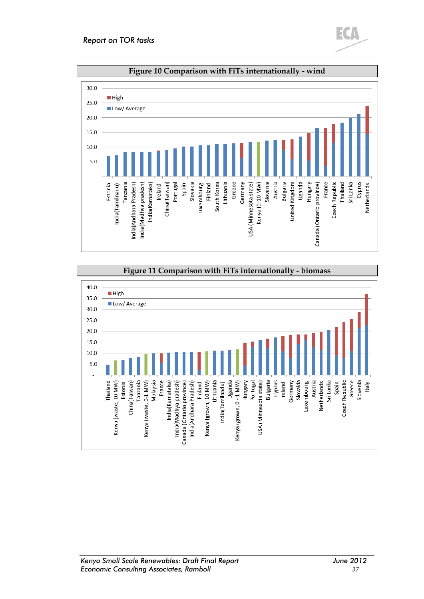<span id="page-36-0"></span>

<span id="page-36-1"></span>

Edi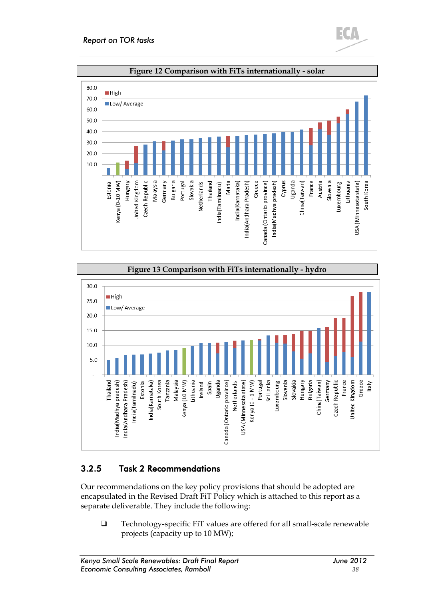<span id="page-37-0"></span>

<span id="page-37-1"></span>

### 3.2.5 Task 2 Recommendations

Our recommendations on the key policy provisions that should be adopted are encapsulated in the Revised Draft FiT Policy which is attached to this report as a separate deliverable. They include the following:

 Technology-specific FiT values are offered for all small-scale renewable projects (capacity up to 10 MW);

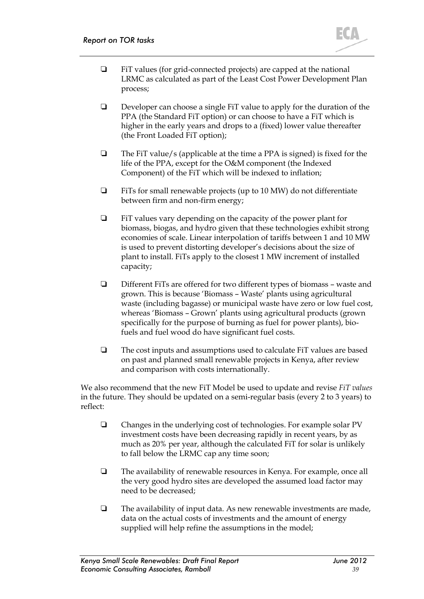

- $\Box$  FiT values (for grid-connected projects) are capped at the national LRMC as calculated as part of the Least Cost Power Development Plan process;
- $\Box$  Developer can choose a single FiT value to apply for the duration of the PPA (the Standard FiT option) or can choose to have a FiT which is higher in the early years and drops to a (fixed) lower value thereafter (the Front Loaded FiT option);
- $\Box$  The FiT value/s (applicable at the time a PPA is signed) is fixed for the life of the PPA, except for the O&M component (the Indexed Component) of the FiT which will be indexed to inflation;
- FiTs for small renewable projects (up to 10 MW) do not differentiate between firm and non-firm energy;
- $\Box$  FiT values vary depending on the capacity of the power plant for biomass, biogas, and hydro given that these technologies exhibit strong economies of scale. Linear interpolation of tariffs between 1 and 10 MW is used to prevent distorting developer's decisions about the size of plant to install. FiTs apply to the closest 1 MW increment of installed capacity;
- Different FiTs are offered for two different types of biomass waste and grown. This is because 'Biomass – Waste' plants using agricultural waste (including bagasse) or municipal waste have zero or low fuel cost, whereas 'Biomass – Grown' plants using agricultural products (grown specifically for the purpose of burning as fuel for power plants), biofuels and fuel wood do have significant fuel costs.
- The cost inputs and assumptions used to calculate FiT values are based on past and planned small renewable projects in Kenya, after review and comparison with costs internationally.

We also recommend that the new FiT Model be used to update and revise *FiT values* in the future. They should be updated on a semi-regular basis (every 2 to 3 years) to reflect:

- $\Box$  Changes in the underlying cost of technologies. For example solar PV investment costs have been decreasing rapidly in recent years, by as much as 20% per year, although the calculated FiT for solar is unlikely to fall below the LRMC cap any time soon;
- The availability of renewable resources in Kenya. For example, once all the very good hydro sites are developed the assumed load factor may need to be decreased;
- $\Box$  The availability of input data. As new renewable investments are made, data on the actual costs of investments and the amount of energy supplied will help refine the assumptions in the model;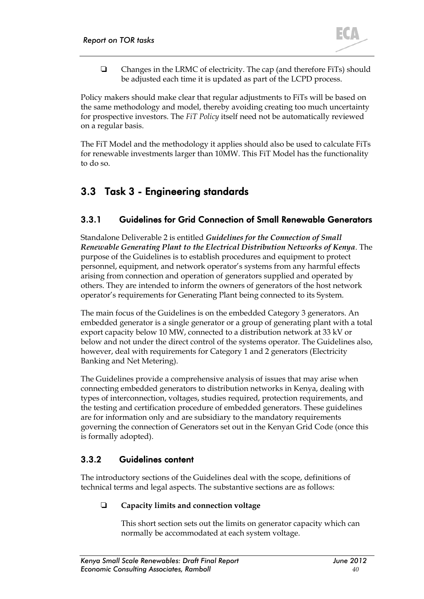

 Changes in the LRMC of electricity. The cap (and therefore FiTs) should be adjusted each time it is updated as part of the LCPD process.

Policy makers should make clear that regular adjustments to FiTs will be based on the same methodology and model, thereby avoiding creating too much uncertainty for prospective investors. The *FiT Policy* itself need not be automatically reviewed on a regular basis.

The FiT Model and the methodology it applies should also be used to calculate FiTs for renewable investments larger than 10MW. This FiT Model has the functionality to do so.

## 3.3 Task 3 - Engineering standards

### 3.3.1 Guidelines for Grid Connection of Small Renewable Generators

Standalone Deliverable 2 is entitled *Guidelines for the Connection of Small Renewable Generating Plant to the Electrical Distribution Networks of Kenya*. The purpose of the Guidelines is to establish procedures and equipment to protect personnel, equipment, and network operator's systems from any harmful effects arising from connection and operation of generators supplied and operated by others. They are intended to inform the owners of generators of the host network operator's requirements for Generating Plant being connected to its System.

The main focus of the Guidelines is on the embedded Category 3 generators. An embedded generator is a single generator or a group of generating plant with a total export capacity below 10 MW, connected to a distribution network at 33 kV or below and not under the direct control of the systems operator. The Guidelines also, however, deal with requirements for Category 1 and 2 generators (Electricity Banking and Net Metering).

The Guidelines provide a comprehensive analysis of issues that may arise when connecting embedded generators to distribution networks in Kenya, dealing with types of interconnection, voltages, studies required, protection requirements, and the testing and certification procedure of embedded generators. These guidelines are for information only and are subsidiary to the mandatory requirements governing the connection of Generators set out in the Kenyan Grid Code (once this is formally adopted).

### 3.3.2 Guidelines content

The introductory sections of the Guidelines deal with the scope, definitions of technical terms and legal aspects. The substantive sections are as follows:

#### **Capacity limits and connection voltage**

This short section sets out the limits on generator capacity which can normally be accommodated at each system voltage.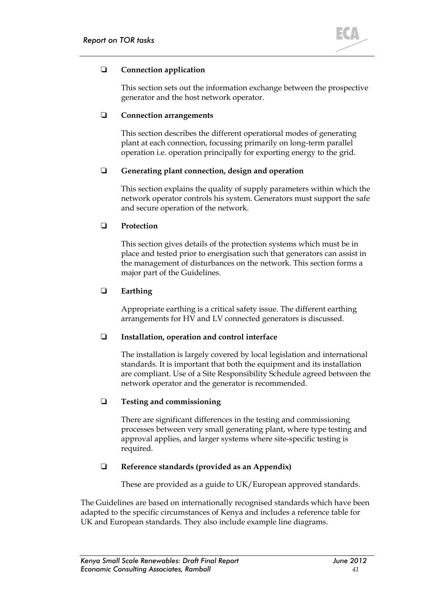

#### **Connection application**

This section sets out the information exchange between the prospective generator and the host network operator.

#### **Connection arrangements**

This section describes the different operational modes of generating plant at each connection, focussing primarily on long-term parallel operation i.e. operation principally for exporting energy to the grid.

#### **Generating plant connection, design and operation**

This section explains the quality of supply parameters within which the network operator controls his system. Generators must support the safe and secure operation of the network.

#### **Protection**

This section gives details of the protection systems which must be in place and tested prior to energisation such that generators can assist in the management of disturbances on the network. This section forms a major part of the Guidelines.

#### **Earthing**

Appropriate earthing is a critical safety issue. The different earthing arrangements for HV and LV connected generators is discussed.

#### **Installation, operation and control interface**

The installation is largely covered by local legislation and international standards. It is important that both the equipment and its installation are compliant. Use of a Site Responsibility Schedule agreed between the network operator and the generator is recommended.

#### **Testing and commissioning**

There are significant differences in the testing and commissioning processes between very small generating plant, where type testing and approval applies, and larger systems where site-specific testing is required.

#### **Reference standards (provided as an Appendix)**

These are provided as a guide to UK/European approved standards.

The Guidelines are based on internationally recognised standards which have been adapted to the specific circumstances of Kenya and includes a reference table for UK and European standards. They also include example line diagrams.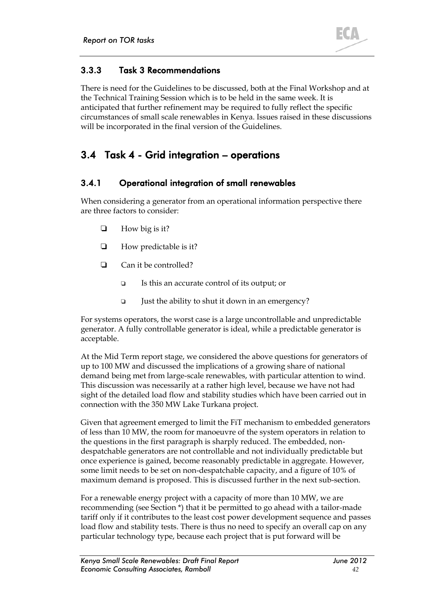

### 3.3.3 Task 3 Recommendations

There is need for the Guidelines to be discussed, both at the Final Workshop and at the Technical Training Session which is to be held in the same week. It is anticipated that further refinement may be required to fully reflect the specific circumstances of small scale renewables in Kenya. Issues raised in these discussions will be incorporated in the final version of the Guidelines.

## 3.4 Task 4 - Grid integration – operations

### 3.4.1 Operational integration of small renewables

When considering a generator from an operational information perspective there are three factors to consider:

- $\Box$  How big is it?
- $\Box$  How predictable is it?
- □ Can it be controlled?
	- Is this an accurate control of its output; or
	- Just the ability to shut it down in an emergency?

For systems operators, the worst case is a large uncontrollable and unpredictable generator. A fully controllable generator is ideal, while a predictable generator is acceptable.

At the Mid Term report stage, we considered the above questions for generators of up to 100 MW and discussed the implications of a growing share of national demand being met from large-scale renewables, with particular attention to wind. This discussion was necessarily at a rather high level, because we have not had sight of the detailed load flow and stability studies which have been carried out in connection with the 350 MW Lake Turkana project.

Given that agreement emerged to limit the FiT mechanism to embedded generators of less than 10 MW, the room for manoeuvre of the system operators in relation to the questions in the first paragraph is sharply reduced. The embedded, nondespatchable generators are not controllable and not individually predictable but once experience is gained, become reasonably predictable in aggregate. However, some limit needs to be set on non-despatchable capacity, and a figure of 10% of maximum demand is proposed. This is discussed further in the next sub-section.

For a renewable energy project with a capacity of more than 10 MW, we are recommending (see Section \*) that it be permitted to go ahead with a tailor-made tariff only if it contributes to the least cost power development sequence and passes load flow and stability tests. There is thus no need to specify an overall cap on any particular technology type, because each project that is put forward will be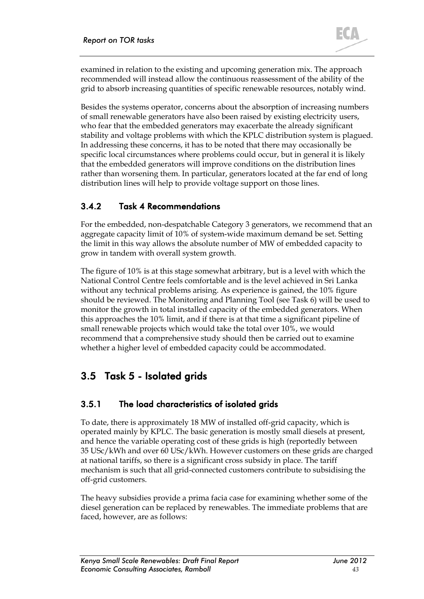

examined in relation to the existing and upcoming generation mix. The approach recommended will instead allow the continuous reassessment of the ability of the grid to absorb increasing quantities of specific renewable resources, notably wind.

Besides the systems operator, concerns about the absorption of increasing numbers of small renewable generators have also been raised by existing electricity users, who fear that the embedded generators may exacerbate the already significant stability and voltage problems with which the KPLC distribution system is plagued. In addressing these concerns, it has to be noted that there may occasionally be specific local circumstances where problems could occur, but in general it is likely that the embedded generators will improve conditions on the distribution lines rather than worsening them. In particular, generators located at the far end of long distribution lines will help to provide voltage support on those lines.

### 3.4.2 Task 4 Recommendations

For the embedded, non-despatchable Category 3 generators, we recommend that an aggregate capacity limit of 10% of system-wide maximum demand be set. Setting the limit in this way allows the absolute number of MW of embedded capacity to grow in tandem with overall system growth.

The figure of 10% is at this stage somewhat arbitrary, but is a level with which the National Control Centre feels comfortable and is the level achieved in Sri Lanka without any technical problems arising. As experience is gained, the 10% figure should be reviewed. The Monitoring and Planning Tool (see Task 6) will be used to monitor the growth in total installed capacity of the embedded generators. When this approaches the 10% limit, and if there is at that time a significant pipeline of small renewable projects which would take the total over 10%, we would recommend that a comprehensive study should then be carried out to examine whether a higher level of embedded capacity could be accommodated.

## <span id="page-42-0"></span>3.5 Task 5 - Isolated grids

### 3.5.1 The load characteristics of isolated grids

To date, there is approximately 18 MW of installed off-grid capacity, which is operated mainly by KPLC. The basic generation is mostly small diesels at present, and hence the variable operating cost of these grids is high (reportedly between 35 USc/kWh and over 60 USc/kWh. However customers on these grids are charged at national tariffs, so there is a significant cross subsidy in place. The tariff mechanism is such that all grid-connected customers contribute to subsidising the off-grid customers.

The heavy subsidies provide a prima facia case for examining whether some of the diesel generation can be replaced by renewables. The immediate problems that are faced, however, are as follows: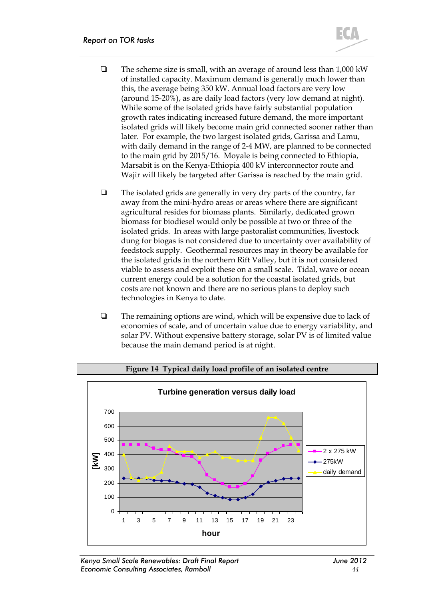- $\Box$  The scheme size is small, with an average of around less than 1,000 kW of installed capacity. Maximum demand is generally much lower than this, the average being 350 kW. Annual load factors are very low (around 15-20%), as are daily load factors (very low demand at night). While some of the isolated grids have fairly substantial population growth rates indicating increased future demand, the more important isolated grids will likely become main grid connected sooner rather than later. For example, the two largest isolated grids, Garissa and Lamu, with daily demand in the range of 2-4 MW, are planned to be connected to the main grid by 2015/16. Moyale is being connected to Ethiopia, Marsabit is on the Kenya-Ethiopia 400 kV interconnector route and Wajir will likely be targeted after Garissa is reached by the main grid.
- $\Box$  The isolated grids are generally in very dry parts of the country, far away from the mini-hydro areas or areas where there are significant agricultural resides for biomass plants. Similarly, dedicated grown biomass for biodiesel would only be possible at two or three of the isolated grids. In areas with large pastoralist communities, livestock dung for biogas is not considered due to uncertainty over availability of feedstock supply. Geothermal resources may in theory be available for the isolated grids in the northern Rift Valley, but it is not considered viable to assess and exploit these on a small scale. Tidal, wave or ocean current energy could be a solution for the coastal isolated grids, but costs are not known and there are no serious plans to deploy such technologies in Kenya to date.
- $\Box$  The remaining options are wind, which will be expensive due to lack of economies of scale, and of uncertain value due to energy variability, and solar PV. Without expensive battery storage, solar PV is of limited value because the main demand period is at night.

<span id="page-43-1"></span><span id="page-43-0"></span>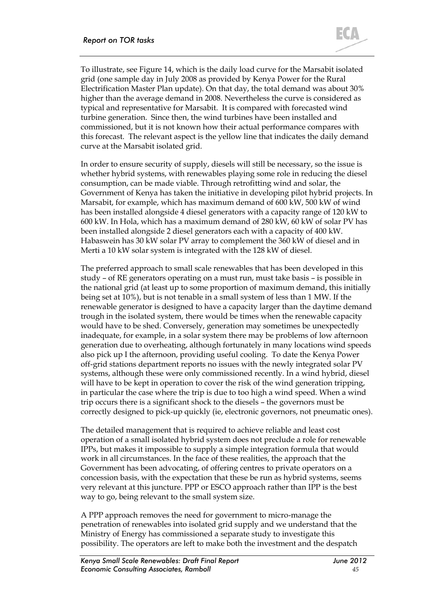To illustrate, see [Figure 14,](#page-43-1) which is the daily load curve for the Marsabit isolated grid (one sample day in July 2008 as provided by Kenya Power for the Rural Electrification Master Plan update). On that day, the total demand was about 30% higher than the average demand in 2008. Nevertheless the curve is considered as typical and representative for Marsabit. It is compared with forecasted wind turbine generation. Since then, the wind turbines have been installed and commissioned, but it is not known how their actual performance compares with this forecast. The relevant aspect is the yellow line that indicates the daily demand curve at the Marsabit isolated grid.

In order to ensure security of supply, diesels will still be necessary, so the issue is whether hybrid systems, with renewables playing some role in reducing the diesel consumption, can be made viable. Through retrofitting wind and solar, the Government of Kenya has taken the initiative in developing pilot hybrid projects. In Marsabit, for example, which has maximum demand of 600 kW, 500 kW of wind has been installed alongside 4 diesel generators with a capacity range of 120 kW to 600 kW. In Hola, which has a maximum demand of 280 kW, 60 kW of solar PV has been installed alongside 2 diesel generators each with a capacity of 400 kW. Habaswein has 30 kW solar PV array to complement the 360 kW of diesel and in Merti a 10 kW solar system is integrated with the 128 kW of diesel.

The preferred approach to small scale renewables that has been developed in this study – of RE generators operating on a must run, must take basis – is possible in the national grid (at least up to some proportion of maximum demand, this initially being set at 10%), but is not tenable in a small system of less than 1 MW. If the renewable generator is designed to have a capacity larger than the daytime demand trough in the isolated system, there would be times when the renewable capacity would have to be shed. Conversely, generation may sometimes be unexpectedly inadequate, for example, in a solar system there may be problems of low afternoon generation due to overheating, although fortunately in many locations wind speeds also pick up I the afternoon, providing useful cooling. To date the Kenya Power off-grid stations department reports no issues with the newly integrated solar PV systems, although these were only commissioned recently. In a wind hybrid, diesel will have to be kept in operation to cover the risk of the wind generation tripping, in particular the case where the trip is due to too high a wind speed. When a wind trip occurs there is a significant shock to the diesels – the governors must be correctly designed to pick-up quickly (ie, electronic governors, not pneumatic ones).

The detailed management that is required to achieve reliable and least cost operation of a small isolated hybrid system does not preclude a role for renewable IPPs, but makes it impossible to supply a simple integration formula that would work in all circumstances. In the face of these realities, the approach that the Government has been advocating, of offering centres to private operators on a concession basis, with the expectation that these be run as hybrid systems, seems very relevant at this juncture. PPP or ESCO approach rather than IPP is the best way to go, being relevant to the small system size.

A PPP approach removes the need for government to micro-manage the penetration of renewables into isolated grid supply and we understand that the Ministry of Energy has commissioned a separate study to investigate this possibility. The operators are left to make both the investment and the despatch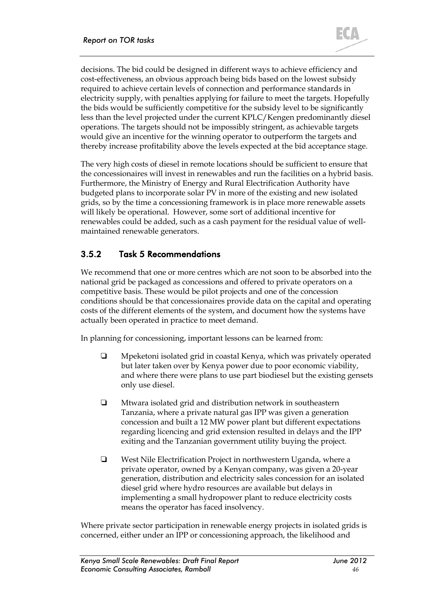decisions. The bid could be designed in different ways to achieve efficiency and cost-effectiveness, an obvious approach being bids based on the lowest subsidy required to achieve certain levels of connection and performance standards in electricity supply, with penalties applying for failure to meet the targets. Hopefully the bids would be sufficiently competitive for the subsidy level to be significantly less than the level projected under the current KPLC/Kengen predominantly diesel operations. The targets should not be impossibly stringent, as achievable targets would give an incentive for the winning operator to outperform the targets and thereby increase profitability above the levels expected at the bid acceptance stage.

The very high costs of diesel in remote locations should be sufficient to ensure that the concessionaires will invest in renewables and run the facilities on a hybrid basis. Furthermore, the Ministry of Energy and Rural Electrification Authority have budgeted plans to incorporate solar PV in more of the existing and new isolated grids, so by the time a concessioning framework is in place more renewable assets will likely be operational. However, some sort of additional incentive for renewables could be added, such as a cash payment for the residual value of wellmaintained renewable generators.

### 3.5.2 Task 5 Recommendations

We recommend that one or more centres which are not soon to be absorbed into the national grid be packaged as concessions and offered to private operators on a competitive basis. These would be pilot projects and one of the concession conditions should be that concessionaires provide data on the capital and operating costs of the different elements of the system, and document how the systems have actually been operated in practice to meet demand.

In planning for concessioning, important lessons can be learned from:

- $\Box$  Mpeketoni isolated grid in coastal Kenya, which was privately operated but later taken over by Kenya power due to poor economic viability, and where there were plans to use part biodiesel but the existing gensets only use diesel.
- Mtwara isolated grid and distribution network in southeastern Tanzania, where a private natural gas IPP was given a generation concession and built a 12 MW power plant but different expectations regarding licencing and grid extension resulted in delays and the IPP exiting and the Tanzanian government utility buying the project.
- West Nile Electrification Project in northwestern Uganda, where a private operator, owned by a Kenyan company, was given a 20-year generation, distribution and electricity sales concession for an isolated diesel grid where hydro resources are available but delays in implementing a small hydropower plant to reduce electricity costs means the operator has faced insolvency.

Where private sector participation in renewable energy projects in isolated grids is concerned, either under an IPP or concessioning approach, the likelihood and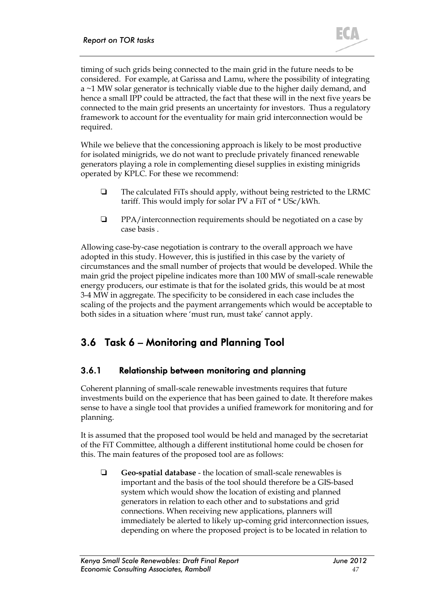

timing of such grids being connected to the main grid in the future needs to be considered. For example, at Garissa and Lamu, where the possibility of integrating a ~1 MW solar generator is technically viable due to the higher daily demand, and hence a small IPP could be attracted, the fact that these will in the next five years be connected to the main grid presents an uncertainty for investors. Thus a regulatory framework to account for the eventuality for main grid interconnection would be required.

While we believe that the concessioning approach is likely to be most productive for isolated minigrids, we do not want to preclude privately financed renewable generators playing a role in complementing diesel supplies in existing minigrids operated by KPLC. For these we recommend:

- $\Box$  The calculated FiTs should apply, without being restricted to the LRMC tariff. This would imply for solar PV a FiT of \* USc/kWh.
- □ PPA/interconnection requirements should be negotiated on a case by case basis .

Allowing case-by-case negotiation is contrary to the overall approach we have adopted in this study. However, this is justified in this case by the variety of circumstances and the small number of projects that would be developed. While the main grid the project pipeline indicates more than 100 MW of small-scale renewable energy producers, our estimate is that for the isolated grids, this would be at most 3-4 MW in aggregate. The specificity to be considered in each case includes the scaling of the projects and the payment arrangements which would be acceptable to both sides in a situation where 'must run, must take' cannot apply.

## <span id="page-46-0"></span>3.6 Task 6 – Monitoring and Planning Tool

### 3.6.1 Relationship between monitoring and planning

Coherent planning of small-scale renewable investments requires that future investments build on the experience that has been gained to date. It therefore makes sense to have a single tool that provides a unified framework for monitoring and for planning.

It is assumed that the proposed tool would be held and managed by the secretariat of the FiT Committee, although a different institutional home could be chosen for this. The main features of the proposed tool are as follows:

 **Geo-spatial database** - the location of small-scale renewables is important and the basis of the tool should therefore be a GIS-based system which would show the location of existing and planned generators in relation to each other and to substations and grid connections. When receiving new applications, planners will immediately be alerted to likely up-coming grid interconnection issues, depending on where the proposed project is to be located in relation to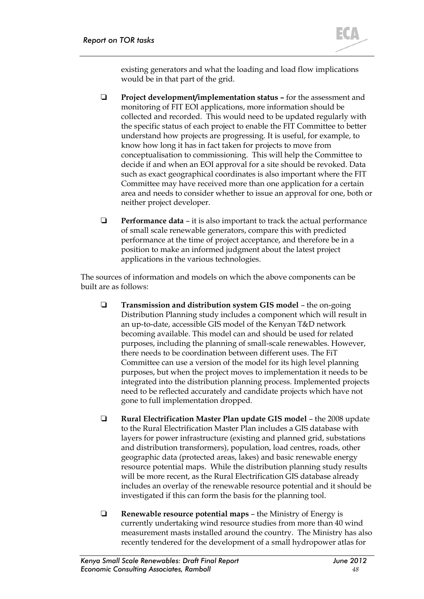

existing generators and what the loading and load flow implications would be in that part of the grid.

- **Project development/implementation status –** for the assessment and monitoring of FIT EOI applications, more information should be collected and recorded. This would need to be updated regularly with the specific status of each project to enable the FIT Committee to better understand how projects are progressing. It is useful, for example, to know how long it has in fact taken for projects to move from conceptualisation to commissioning. This will help the Committee to decide if and when an EOI approval for a site should be revoked. Data such as exact geographical coordinates is also important where the FIT Committee may have received more than one application for a certain area and needs to consider whether to issue an approval for one, both or neither project developer.
- **Performance data** it is also important to track the actual performance of small scale renewable generators, compare this with predicted performance at the time of project acceptance, and therefore be in a position to make an informed judgment about the latest project applications in the various technologies.

The sources of information and models on which the above components can be built are as follows:

- **Transmission and distribution system GIS model** the on-going Distribution Planning study includes a component which will result in an up-to-date, accessible GIS model of the Kenyan T&D network becoming available. This model can and should be used for related purposes, including the planning of small-scale renewables. However, there needs to be coordination between different uses. The FiT Committee can use a version of the model for its high level planning purposes, but when the project moves to implementation it needs to be integrated into the distribution planning process. Implemented projects need to be reflected accurately and candidate projects which have not gone to full implementation dropped.
- **Rural Electrification Master Plan update GIS model** the 2008 update to the Rural Electrification Master Plan includes a GIS database with layers for power infrastructure (existing and planned grid, substations and distribution transformers), population, load centres, roads, other geographic data (protected areas, lakes) and basic renewable energy resource potential maps. While the distribution planning study results will be more recent, as the Rural Electrification GIS database already includes an overlay of the renewable resource potential and it should be investigated if this can form the basis for the planning tool.
- **Renewable resource potential maps**  the Ministry of Energy is currently undertaking wind resource studies from more than 40 wind measurement masts installed around the country. The Ministry has also recently tendered for the development of a small hydropower atlas for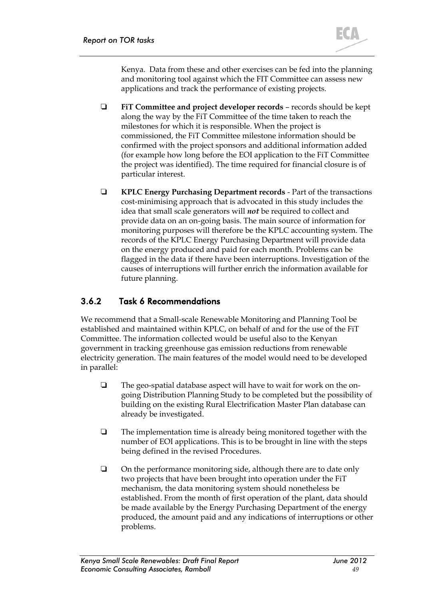

Kenya. Data from these and other exercises can be fed into the planning and monitoring tool against which the FIT Committee can assess new applications and track the performance of existing projects.

- **FiT Committee and project developer records** records should be kept along the way by the FiT Committee of the time taken to reach the milestones for which it is responsible. When the project is commissioned, the FiT Committee milestone information should be confirmed with the project sponsors and additional information added (for example how long before the EOI application to the FiT Committee the project was identified). The time required for financial closure is of particular interest.
- **KPLC Energy Purchasing Department records** Part of the transactions cost-minimising approach that is advocated in this study includes the idea that small scale generators will *not* be required to collect and provide data on an on-going basis. The main source of information for monitoring purposes will therefore be the KPLC accounting system. The records of the KPLC Energy Purchasing Department will provide data on the energy produced and paid for each month. Problems can be flagged in the data if there have been interruptions. Investigation of the causes of interruptions will further enrich the information available for future planning.

### 3.6.2 Task 6 Recommendations

We recommend that a Small-scale Renewable Monitoring and Planning Tool be established and maintained within KPLC, on behalf of and for the use of the FiT Committee. The information collected would be useful also to the Kenyan government in tracking greenhouse gas emission reductions from renewable electricity generation. The main features of the model would need to be developed in parallel:

- $\Box$  The geo-spatial database aspect will have to wait for work on the ongoing Distribution Planning Study to be completed but the possibility of building on the existing Rural Electrification Master Plan database can already be investigated.
- $\Box$  The implementation time is already being monitored together with the number of EOI applications. This is to be brought in line with the steps being defined in the revised Procedures.
- $\Box$  On the performance monitoring side, although there are to date only two projects that have been brought into operation under the FiT mechanism, the data monitoring system should nonetheless be established. From the month of first operation of the plant, data should be made available by the Energy Purchasing Department of the energy produced, the amount paid and any indications of interruptions or other problems.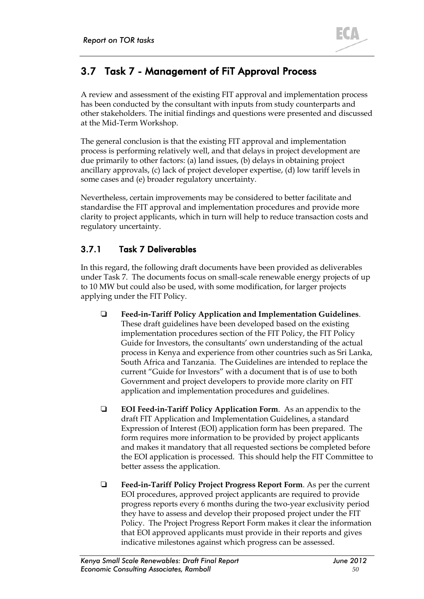

# 3.7 Task 7 - Management of FiT Approval Process

A review and assessment of the existing FIT approval and implementation process has been conducted by the consultant with inputs from study counterparts and other stakeholders. The initial findings and questions were presented and discussed at the Mid-Term Workshop.

The general conclusion is that the existing FIT approval and implementation process is performing relatively well, and that delays in project development are due primarily to other factors: (a) land issues, (b) delays in obtaining project ancillary approvals, (c) lack of project developer expertise, (d) low tariff levels in some cases and (e) broader regulatory uncertainty.

Nevertheless, certain improvements may be considered to better facilitate and standardise the FIT approval and implementation procedures and provide more clarity to project applicants, which in turn will help to reduce transaction costs and regulatory uncertainty.

### 3.7.1 Task 7 Deliverables

In this regard, the following draft documents have been provided as deliverables under Task 7. The documents focus on small-scale renewable energy projects of up to 10 MW but could also be used, with some modification, for larger projects applying under the FIT Policy.

- **Feed-in-Tariff Policy Application and Implementation Guidelines**. These draft guidelines have been developed based on the existing implementation procedures section of the FIT Policy, the FIT Policy Guide for Investors, the consultants' own understanding of the actual process in Kenya and experience from other countries such as Sri Lanka, South Africa and Tanzania. The Guidelines are intended to replace the current "Guide for Investors" with a document that is of use to both Government and project developers to provide more clarity on FIT application and implementation procedures and guidelines.
- **EOI Feed-in-Tariff Policy Application Form**. As an appendix to the draft FIT Application and Implementation Guidelines, a standard Expression of Interest (EOI) application form has been prepared. The form requires more information to be provided by project applicants and makes it mandatory that all requested sections be completed before the EOI application is processed. This should help the FIT Committee to better assess the application.
- **Feed-in-Tariff Policy Project Progress Report Form**. As per the current EOI procedures, approved project applicants are required to provide progress reports every 6 months during the two-year exclusivity period they have to assess and develop their proposed project under the FIT Policy. The Project Progress Report Form makes it clear the information that EOI approved applicants must provide in their reports and gives indicative milestones against which progress can be assessed.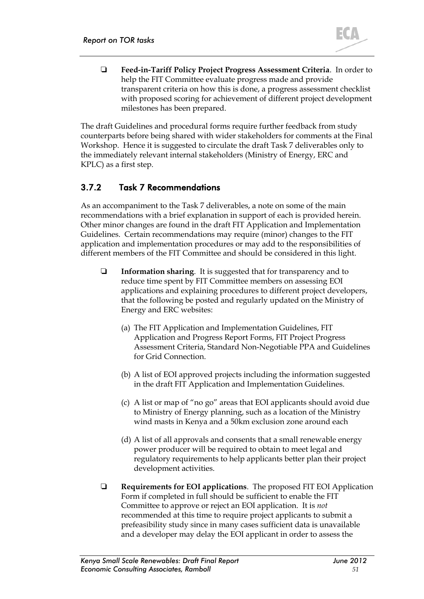

 **Feed-in-Tariff Policy Project Progress Assessment Criteria**. In order to help the FIT Committee evaluate progress made and provide transparent criteria on how this is done, a progress assessment checklist with proposed scoring for achievement of different project development milestones has been prepared.

The draft Guidelines and procedural forms require further feedback from study counterparts before being shared with wider stakeholders for comments at the Final Workshop. Hence it is suggested to circulate the draft Task 7 deliverables only to the immediately relevant internal stakeholders (Ministry of Energy, ERC and KPLC) as a first step.

### 3.7.2 Task 7 Recommendations

As an accompaniment to the Task 7 deliverables, a note on some of the main recommendations with a brief explanation in support of each is provided herein. Other minor changes are found in the draft FIT Application and Implementation Guidelines. Certain recommendations may require (minor) changes to the FIT application and implementation procedures or may add to the responsibilities of different members of the FIT Committee and should be considered in this light.

- **Information sharing**. It is suggested that for transparency and to reduce time spent by FIT Committee members on assessing EOI applications and explaining procedures to different project developers, that the following be posted and regularly updated on the Ministry of Energy and ERC websites:
	- (a) The FIT Application and Implementation Guidelines, FIT Application and Progress Report Forms, FIT Project Progress Assessment Criteria, Standard Non-Negotiable PPA and Guidelines for Grid Connection.
	- (b) A list of EOI approved projects including the information suggested in the draft FIT Application and Implementation Guidelines.
	- (c) A list or map of "no go" areas that EOI applicants should avoid due to Ministry of Energy planning, such as a location of the Ministry wind masts in Kenya and a 50km exclusion zone around each
	- (d) A list of all approvals and consents that a small renewable energy power producer will be required to obtain to meet legal and regulatory requirements to help applicants better plan their project development activities.
- **Requirements for EOI applications**. The proposed FIT EOI Application Form if completed in full should be sufficient to enable the FIT Committee to approve or reject an EOI application. It is *not* recommended at this time to require project applicants to submit a prefeasibility study since in many cases sufficient data is unavailable and a developer may delay the EOI applicant in order to assess the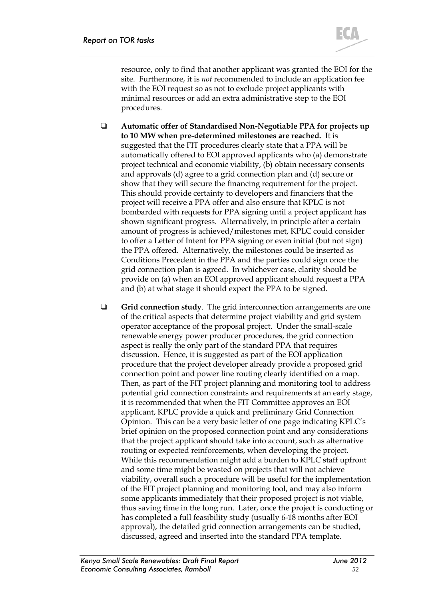

resource, only to find that another applicant was granted the EOI for the site. Furthermore, it is *not* recommended to include an application fee with the EOI request so as not to exclude project applicants with minimal resources or add an extra administrative step to the EOI procedures.

- **Automatic offer of Standardised Non-Negotiable PPA for projects up to 10 MW when pre-determined milestones are reached.** It is suggested that the FIT procedures clearly state that a PPA will be automatically offered to EOI approved applicants who (a) demonstrate project technical and economic viability, (b) obtain necessary consents and approvals (d) agree to a grid connection plan and (d) secure or show that they will secure the financing requirement for the project. This should provide certainty to developers and financiers that the project will receive a PPA offer and also ensure that KPLC is not bombarded with requests for PPA signing until a project applicant has shown significant progress. Alternatively, in principle after a certain amount of progress is achieved/milestones met, KPLC could consider to offer a Letter of Intent for PPA signing or even initial (but not sign) the PPA offered. Alternatively, the milestones could be inserted as Conditions Precedent in the PPA and the parties could sign once the grid connection plan is agreed. In whichever case, clarity should be provide on (a) when an EOI approved applicant should request a PPA and (b) at what stage it should expect the PPA to be signed.
- **Grid connection study**. The grid interconnection arrangements are one of the critical aspects that determine project viability and grid system operator acceptance of the proposal project. Under the small-scale renewable energy power producer procedures, the grid connection aspect is really the only part of the standard PPA that requires discussion. Hence, it is suggested as part of the EOI application procedure that the project developer already provide a proposed grid connection point and power line routing clearly identified on a map. Then, as part of the FIT project planning and monitoring tool to address potential grid connection constraints and requirements at an early stage, it is recommended that when the FIT Committee approves an EOI applicant, KPLC provide a quick and preliminary Grid Connection Opinion. This can be a very basic letter of one page indicating KPLC's brief opinion on the proposed connection point and any considerations that the project applicant should take into account, such as alternative routing or expected reinforcements, when developing the project. While this recommendation might add a burden to KPLC staff upfront and some time might be wasted on projects that will not achieve viability, overall such a procedure will be useful for the implementation of the FIT project planning and monitoring tool, and may also inform some applicants immediately that their proposed project is not viable, thus saving time in the long run. Later, once the project is conducting or has completed a full feasibility study (usually 6-18 months after EOI approval), the detailed grid connection arrangements can be studied, discussed, agreed and inserted into the standard PPA template.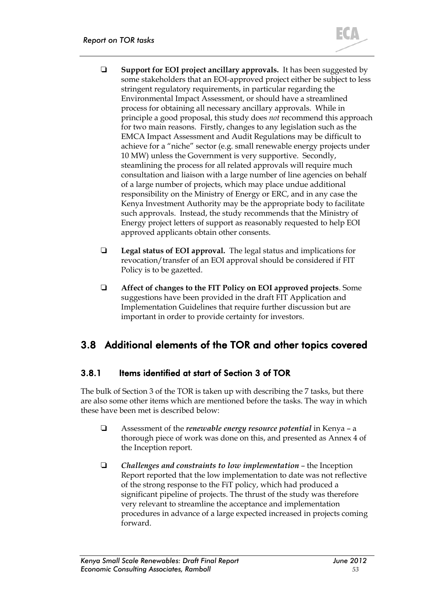- **Support for EOI project ancillary approvals.** It has been suggested by some stakeholders that an EOI-approved project either be subject to less stringent regulatory requirements, in particular regarding the Environmental Impact Assessment, or should have a streamlined process for obtaining all necessary ancillary approvals. While in principle a good proposal, this study does *not* recommend this approach for two main reasons. Firstly, changes to any legislation such as the EMCA Impact Assessment and Audit Regulations may be difficult to achieve for a "niche" sector (e.g. small renewable energy projects under 10 MW) unless the Government is very supportive. Secondly, steamlining the process for all related approvals will require much consultation and liaison with a large number of line agencies on behalf of a large number of projects, which may place undue additional responsibility on the Ministry of Energy or ERC, and in any case the Kenya Investment Authority may be the appropriate body to facilitate such approvals. Instead, the study recommends that the Ministry of Energy project letters of support as reasonably requested to help EOI approved applicants obtain other consents.
- **Legal status of EOI approval.** The legal status and implications for revocation/transfer of an EOI approval should be considered if FIT Policy is to be gazetted.
- **Affect of changes to the FIT Policy on EOI approved projects**. Some suggestions have been provided in the draft FIT Application and Implementation Guidelines that require further discussion but are important in order to provide certainty for investors.

## 3.8 Additional elements of the TOR and other topics covered

### 3.8.1 Items identified at start of Section 3 of TOR

The bulk of Section 3 of the TOR is taken up with describing the 7 tasks, but there are also some other items which are mentioned before the tasks. The way in which these have been met is described below:

- Assessment of the *renewable energy resource potential* in Kenya a thorough piece of work was done on this, and presented as Annex 4 of the Inception report.
- *Challenges and constraints to low implementation* the Inception Report reported that the low implementation to date was not reflective of the strong response to the FiT policy, which had produced a significant pipeline of projects. The thrust of the study was therefore very relevant to streamline the acceptance and implementation procedures in advance of a large expected increased in projects coming forward.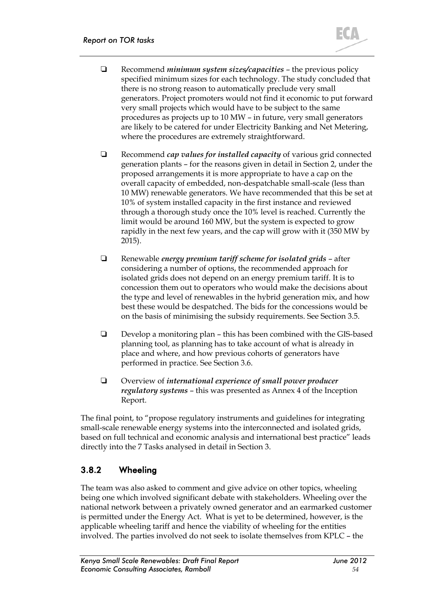- Recommend *minimum system sizes/capacities* the previous policy specified minimum sizes for each technology. The study concluded that there is no strong reason to automatically preclude very small generators. Project promoters would not find it economic to put forward very small projects which would have to be subject to the same procedures as projects up to 10 MW – in future, very small generators are likely to be catered for under Electricity Banking and Net Metering, where the procedures are extremely straightforward.
- Recommend *cap values for installed capacity* of various grid connected generation plants – for the reasons given in detail in Section [2,](#page-12-0) under the proposed arrangements it is more appropriate to have a cap on the overall capacity of embedded, non-despatchable small-scale (less than 10 MW) renewable generators. We have recommended that this be set at 10% of system installed capacity in the first instance and reviewed through a thorough study once the 10% level is reached. Currently the limit would be around 160 MW, but the system is expected to grow rapidly in the next few years, and the cap will grow with it (350 MW by 2015).
- Renewable *energy premium tariff scheme for isolated grids* after considering a number of options, the recommended approach for isolated grids does not depend on an energy premium tariff. It is to concession them out to operators who would make the decisions about the type and level of renewables in the hybrid generation mix, and how best these would be despatched. The bids for the concessions would be on the basis of minimising the subsidy requirements. See Section [3.5.](#page-42-0)
- $\Box$  Develop a monitoring plan this has been combined with the GIS-based planning tool, as planning has to take account of what is already in place and where, and how previous cohorts of generators have performed in practice. See Section [3.6.](#page-46-0)
- Overview of *international experience of small power producer regulatory systems* – this was presented as Annex 4 of the Inception Report.

The final point, to "propose regulatory instruments and guidelines for integrating small-scale renewable energy systems into the interconnected and isolated grids, based on full technical and economic analysis and international best practice" leads directly into the 7 Tasks analysed in detail in Section [3.](#page-20-0)

### 3.8.2 Wheeling

The team was also asked to comment and give advice on other topics, wheeling being one which involved significant debate with stakeholders. Wheeling over the national network between a privately owned generator and an earmarked customer is permitted under the Energy Act. What is yet to be determined, however, is the applicable wheeling tariff and hence the viability of wheeling for the entities involved. The parties involved do not seek to isolate themselves from KPLC – the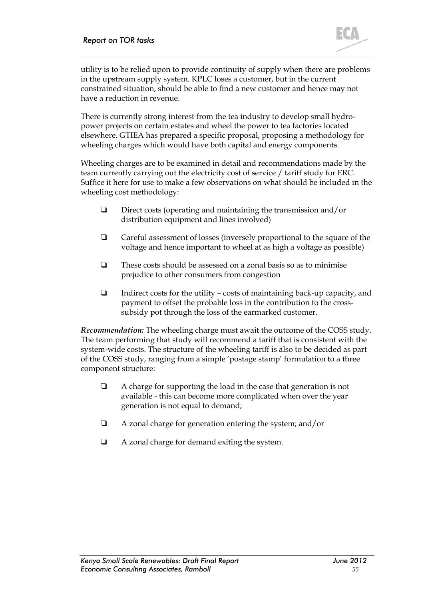

utility is to be relied upon to provide continuity of supply when there are problems in the upstream supply system. KPLC loses a customer, but in the current constrained situation, should be able to find a new customer and hence may not have a reduction in revenue.

There is currently strong interest from the tea industry to develop small hydropower projects on certain estates and wheel the power to tea factories located elsewhere. GTIEA has prepared a specific proposal, proposing a methodology for wheeling charges which would have both capital and energy components.

Wheeling charges are to be examined in detail and recommendations made by the team currently carrying out the electricity cost of service / tariff study for ERC. Suffice it here for use to make a few observations on what should be included in the wheeling cost methodology:

- $\Box$  Direct costs (operating and maintaining the transmission and/or distribution equipment and lines involved)
- Careful assessment of losses (inversely proportional to the square of the voltage and hence important to wheel at as high a voltage as possible)
- $\Box$  These costs should be assessed on a zonal basis so as to minimise prejudice to other consumers from congestion
- $\Box$  Indirect costs for the utility costs of maintaining back-up capacity, and payment to offset the probable loss in the contribution to the crosssubsidy pot through the loss of the earmarked customer.

*Recommendation:* The wheeling charge must await the outcome of the COSS study. The team performing that study will recommend a tariff that is consistent with the system-wide costs. The structure of the wheeling tariff is also to be decided as part of the COSS study, ranging from a simple 'postage stamp' formulation to a three component structure:

- $\Box$  A charge for supporting the load in the case that generation is not available - this can become more complicated when over the year generation is not equal to demand;
- A zonal charge for generation entering the system; and/or
- $\Box$  A zonal charge for demand exiting the system.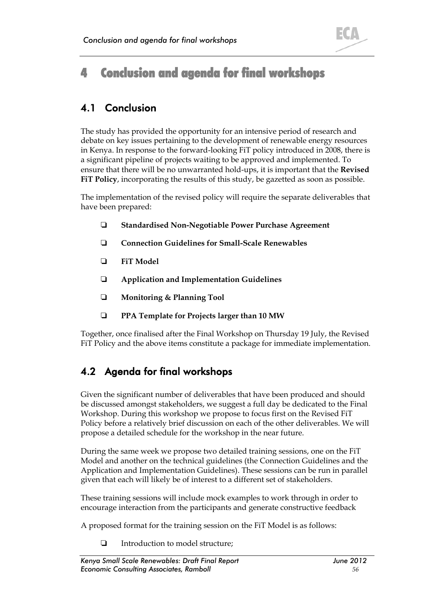

# 4 Conclusion and agenda for final workshops

## 4.1 Conclusion

The study has provided the opportunity for an intensive period of research and debate on key issues pertaining to the development of renewable energy resources in Kenya. In response to the forward-looking FiT policy introduced in 2008, there is a significant pipeline of projects waiting to be approved and implemented. To ensure that there will be no unwarranted hold-ups, it is important that the **Revised FiT Policy**, incorporating the results of this study, be gazetted as soon as possible.

The implementation of the revised policy will require the separate deliverables that have been prepared:

- **Standardised Non-Negotiable Power Purchase Agreement**
- **Connection Guidelines for Small-Scale Renewables**
- **FiT Model**
- **Application and Implementation Guidelines**
- **Monitoring & Planning Tool**
- **PPA Template for Projects larger than 10 MW**

Together, once finalised after the Final Workshop on Thursday 19 July, the Revised FiT Policy and the above items constitute a package for immediate implementation.

## 4.2 Agenda for final workshops

Given the significant number of deliverables that have been produced and should be discussed amongst stakeholders, we suggest a full day be dedicated to the Final Workshop. During this workshop we propose to focus first on the Revised FiT Policy before a relatively brief discussion on each of the other deliverables. We will propose a detailed schedule for the workshop in the near future.

During the same week we propose two detailed training sessions, one on the FiT Model and another on the technical guidelines (the Connection Guidelines and the Application and Implementation Guidelines). These sessions can be run in parallel given that each will likely be of interest to a different set of stakeholders.

These training sessions will include mock examples to work through in order to encourage interaction from the participants and generate constructive feedback

A proposed format for the training session on the FiT Model is as follows:

**Introduction to model structure;**